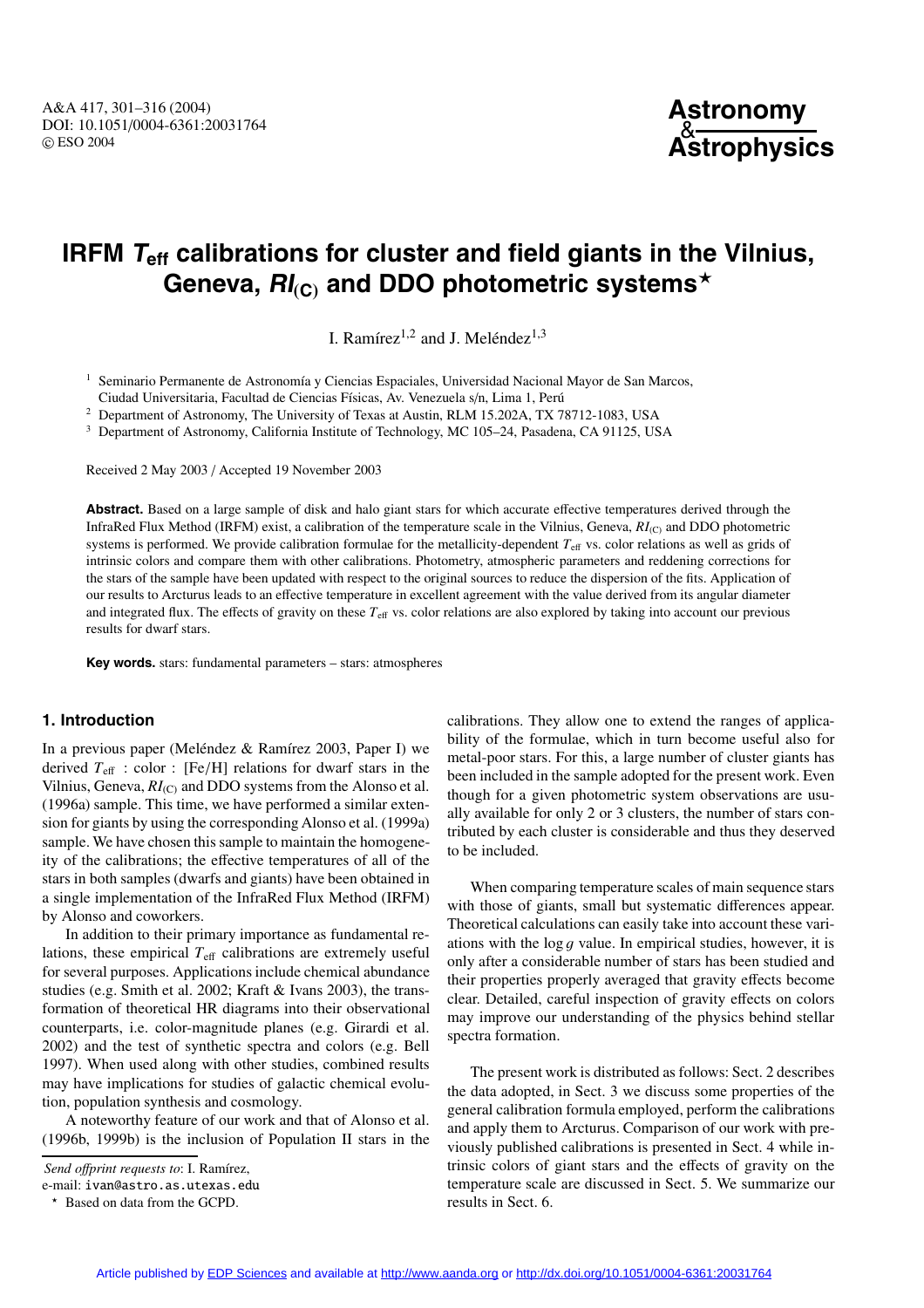# **IRFM**  $T_{\text{eff}}$  calibrations for cluster and field giants in the Vilnius, **Geneva, RI(C) and DDO photometric systems**

I. Ramírez<sup>1,2</sup> and J. Meléndez<sup>1,3</sup>

<sup>1</sup> Seminario Permanente de Astronomía y Ciencias Espaciales, Universidad Nacional Mayor de San Marcos,

Ciudad Universitaria, Facultad de Ciencias Físicas, Av. Venezuela s/n, Lima 1, Perú

<sup>2</sup> Department of Astronomy, The University of Texas at Austin, RLM 15.202A, TX 78712-1083, USA

<sup>3</sup> Department of Astronomy, California Institute of Technology, MC 105–24, Pasadena, CA 91125, USA

Received 2 May 2003 / Accepted 19 November 2003

**Abstract.** Based on a large sample of disk and halo giant stars for which accurate effective temperatures derived through the InfraRed Flux Method (IRFM) exist, a calibration of the temperature scale in the Vilnius, Geneva,  $RI_{(C)}$  and DDO photometric systems is performed. We provide calibration formulae for the metallicity-dependent  $T_{\text{eff}}$  vs. color relations as well as grids of intrinsic colors and compare them with other calibrations. Photometry, atmospheric parameters and reddening corrections for the stars of the sample have been updated with respect to the original sources to reduce the dispersion of the fits. Application of our results to Arcturus leads to an effective temperature in excellent agreement with the value derived from its angular diameter and integrated flux. The effects of gravity on these *T*<sup>e</sup>ff vs. color relations are also explored by taking into account our previous results for dwarf stars.

**Key words.** stars: fundamental parameters – stars: atmospheres

# **1. Introduction**

In a previous paper (Meléndez & Ramírez 2003, Paper I) we derived *<sup>T</sup>*eff : color : [Fe/H] relations for dwarf stars in the Vilnius, Geneva,  $RI_{(C)}$  and DDO systems from the Alonso et al. (1996a) sample. This time, we have performed a similar extension for giants by using the corresponding Alonso et al. (1999a) sample. We have chosen this sample to maintain the homogeneity of the calibrations; the effective temperatures of all of the stars in both samples (dwarfs and giants) have been obtained in a single implementation of the InfraRed Flux Method (IRFM) by Alonso and coworkers.

In addition to their primary importance as fundamental relations, these empirical  $T<sub>eff</sub>$  calibrations are extremely useful for several purposes. Applications include chemical abundance studies (e.g. Smith et al. 2002; Kraft & Ivans 2003), the transformation of theoretical HR diagrams into their observational counterparts, i.e. color-magnitude planes (e.g. Girardi et al. 2002) and the test of synthetic spectra and colors (e.g. Bell 1997). When used along with other studies, combined results may have implications for studies of galactic chemical evolution, population synthesis and cosmology.

A noteworthy feature of our work and that of Alonso et al. (1996b, 1999b) is the inclusion of Population II stars in the

e-mail: ivan@astro.as.utexas.edu

calibrations. They allow one to extend the ranges of applicability of the formulae, which in turn become useful also for metal-poor stars. For this, a large number of cluster giants has been included in the sample adopted for the present work. Even though for a given photometric system observations are usually available for only 2 or 3 clusters, the number of stars contributed by each cluster is considerable and thus they deserved to be included.

When comparing temperature scales of main sequence stars with those of giants, small but systematic differences appear. Theoretical calculations can easily take into account these variations with the  $\log g$  value. In empirical studies, however, it is only after a considerable number of stars has been studied and their properties properly averaged that gravity effects become clear. Detailed, careful inspection of gravity effects on colors may improve our understanding of the physics behind stellar spectra formation.

The present work is distributed as follows: Sect. 2 describes the data adopted, in Sect. 3 we discuss some properties of the general calibration formula employed, perform the calibrations and apply them to Arcturus. Comparison of our work with previously published calibrations is presented in Sect. 4 while intrinsic colors of giant stars and the effects of gravity on the temperature scale are discussed in Sect. 5. We summarize our results in Sect. 6.

*Send offprint requests to: I. Ramírez,* 

<sup>\*</sup> Based on data from the GCPD.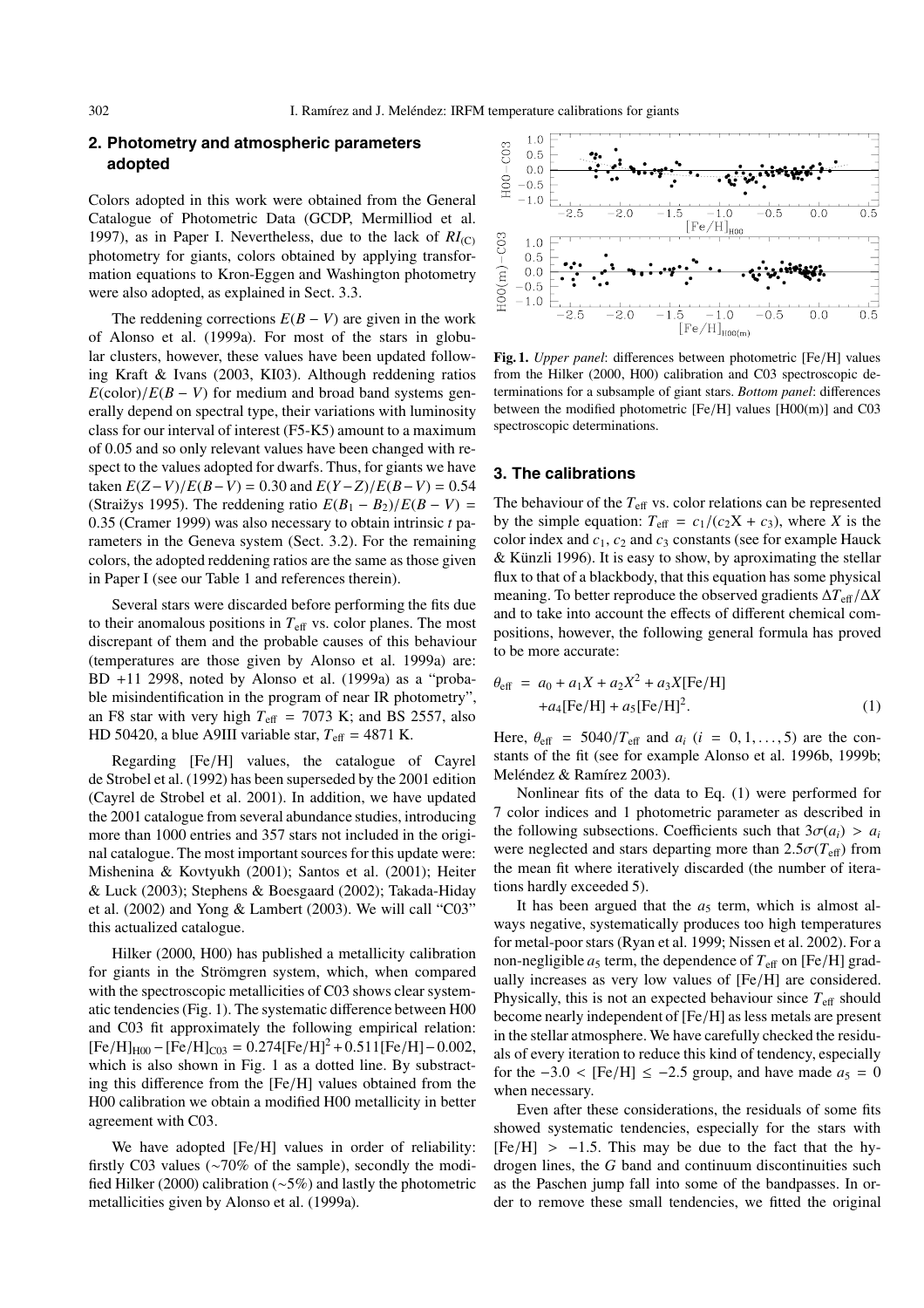# **2. Photometry and atmospheric parameters adopted**

Colors adopted in this work were obtained from the General Catalogue of Photometric Data (GCDP, Mermilliod et al. 1997), as in Paper I. Nevertheless, due to the lack of  $RI_{(C)}$ photometry for giants, colors obtained by applying transformation equations to Kron-Eggen and Washington photometry were also adopted, as explained in Sect. 3.3.

The reddening corrections  $E(B - V)$  are given in the work of Alonso et al. (1999a). For most of the stars in globular clusters, however, these values have been updated following Kraft & Ivans (2003, KI03). Although reddening ratios  $E$ (color)/ $E(B - V)$  for medium and broad band systems generally depend on spectral type, their variations with luminosity class for our interval of interest (F5-K5) amount to a maximum of 0.05 and so only relevant values have been changed with respect to the values adopted for dwarfs. Thus, for giants we have taken  $E(Z - V)/E(B - V) = 0.30$  and  $E(Y - Z)/E(B - V) = 0.54$ (Straižys 1995). The reddening ratio  $E(B_1 - B_2)/E(B - V) =$ <sup>0</sup>.35 (Cramer 1999) was also necessary to obtain intrinsic *<sup>t</sup>* parameters in the Geneva system (Sect. 3.2). For the remaining colors, the adopted reddening ratios are the same as those given in Paper I (see our Table 1 and references therein).

Several stars were discarded before performing the fits due to their anomalous positions in  $T_{\text{eff}}$  vs. color planes. The most discrepant of them and the probable causes of this behaviour (temperatures are those given by Alonso et al. 1999a) are:  $BD +11$  2998, noted by Alonso et al. (1999a) as a "probable misindentification in the program of near IR photometry", an F8 star with very high  $T_{\text{eff}}$  = 7073 K; and BS 2557, also HD 50420, a blue A9III variable star,  $T_{\text{eff}} = 4871$  K.

Regarding [Fe/H] values, the catalogue of Cayrel de Strobel et al. (1992) has been superseded by the 2001 edition (Cayrel de Strobel et al. 2001). In addition, we have updated the 2001 catalogue from several abundance studies, introducing more than 1000 entries and 357 stars not included in the original catalogue. The most important sources for this update were: Mishenina & Kovtyukh (2001); Santos et al. (2001); Heiter & Luck (2003); Stephens & Boesgaard (2002); Takada-Hiday et al. (2002) and Yong & Lambert (2003). We will call "C03" this actualized catalogue.

Hilker (2000, H00) has published a metallicity calibration for giants in the Strömgren system, which, when compared with the spectroscopic metallicities of C03 shows clear systematic tendencies (Fig. 1). The systematic difference between H00 and C03 fit approximately the following empirical relation:  $[Fe/H]_{H00} - [Fe/H]_{C03} = 0.274[Fe/H]^2 + 0.511[Fe/H] - 0.002$ , which is also shown in Fig. 1 as a dotted line. By substracting this difference from the [Fe/H] values obtained from the H00 calibration we obtain a modified H00 metallicity in better agreement with C03.

We have adopted [Fe/H] values in order of reliability: firstly C03 values (∼70% of the sample), secondly the modified Hilker (2000) calibration (∼5%) and lastly the photometric metallicities given by Alonso et al. (1999a).



**Fig. 1.** *Upper panel*: differences between photometric [Fe/H] values from the Hilker (2000, H00) calibration and C03 spectroscopic determinations for a subsample of giant stars. *Bottom panel*: differences between the modified photometric [Fe/H] values [H00(m)] and C03 spectroscopic determinations.

# **3. The calibrations**

The behaviour of the  $T_{\text{eff}}$  vs. color relations can be represented by the simple equation:  $T_{\text{eff}} = c_1/(c_2X + c_3)$ , where *X* is the color index and  $c_1$ ,  $c_2$  and  $c_3$  constants (see for example Hauck  $&$  Künzli 1996). It is easy to show, by aproximating the stellar flux to that of a blackbody, that this equation has some physical meaning. To better reproduce the observed gradients <sup>∆</sup>*T*eff/∆*<sup>X</sup>* and to take into account the effects of different chemical compositions, however, the following general formula has proved to be more accurate:

$$
\theta_{\text{eff}} = a_0 + a_1 X + a_2 X^2 + a_3 X \text{[Fe/H]} \n+ a_4 \text{[Fe/H]} + a_5 \text{[Fe/H]}^2.
$$
\n(1)

Here,  $\theta_{\text{eff}} = 5040/T_{\text{eff}}$  and  $a_i$  (*i* = 0, 1, ..., 5) are the constants of the fit (see for example Alonso et al. 1996b, 1999b; Meléndez & Ramírez 2003).

Nonlinear fits of the data to Eq. (1) were performed for 7 color indices and 1 photometric parameter as described in the following subsections. Coefficients such that  $3\sigma(a_i) > a_i$ were neglected and stars departing more than  $2.5\sigma(T_{\text{eff}})$  from the mean fit where iteratively discarded (the number of iterations hardly exceeded 5).

It has been argued that the  $a_5$  term, which is almost always negative, systematically produces too high temperatures for metal-poor stars (Ryan et al. 1999; Nissen et al. 2002). For a non-negligible  $a_5$  term, the dependence of  $T_{\text{eff}}$  on [Fe/H] gradually increases as very low values of [Fe/H] are considered. Physically, this is not an expected behaviour since *T*<sup>e</sup>ff should become nearly independent of [Fe/H] as less metals are present in the stellar atmosphere. We have carefully checked the residuals of every iteration to reduce this kind of tendency, especially for the  $-3.0 <$  [Fe/H] ≤  $-2.5$  group, and have made  $a_5 = 0$ when necessary.

Even after these considerations, the residuals of some fits showed systematic tendencies, especially for the stars with  $[Fe/H]$  > -1.5. This may be due to the fact that the hydrogen lines, the *G* band and continuum discontinuities such as the Paschen jump fall into some of the bandpasses. In order to remove these small tendencies, we fitted the original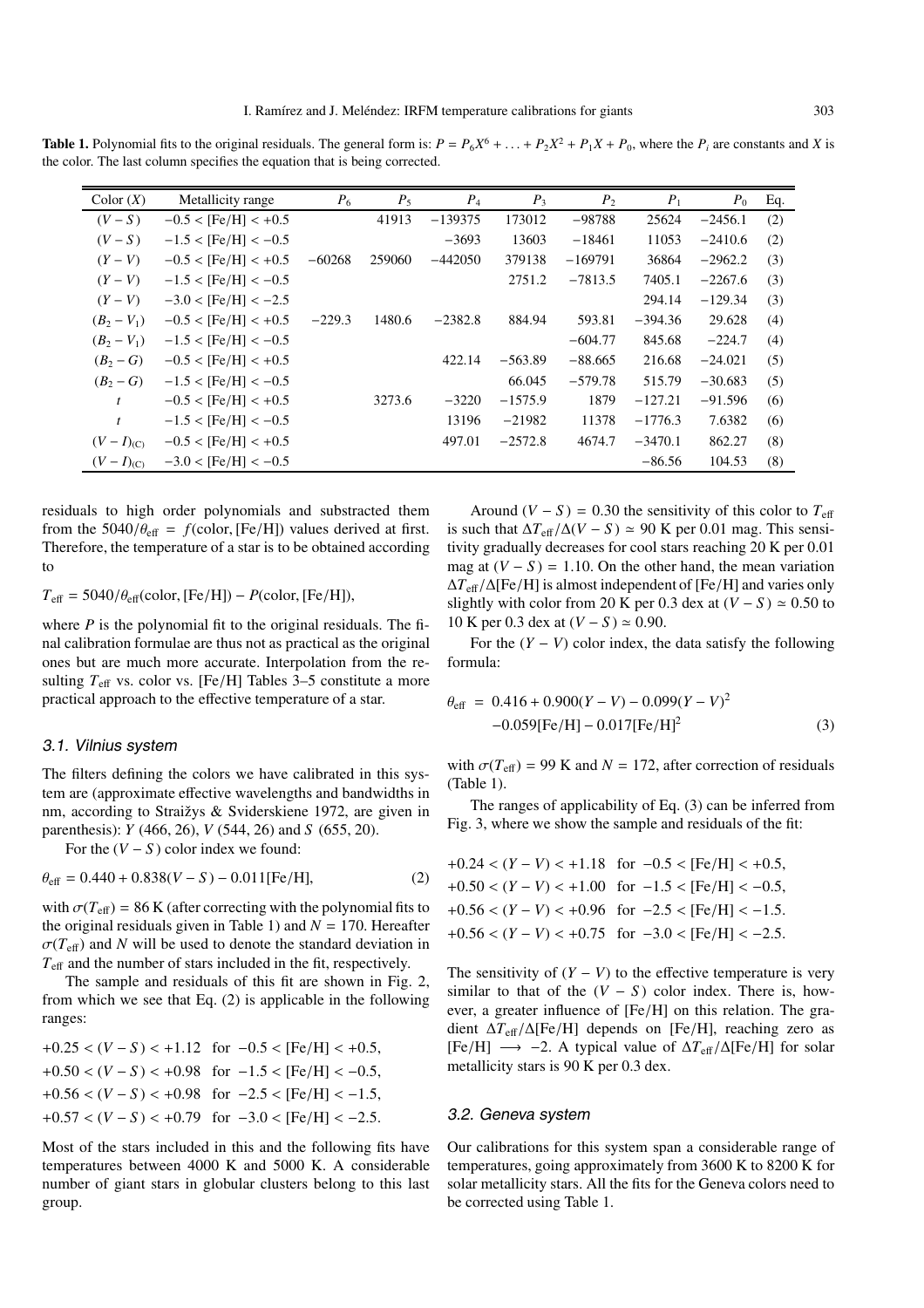**Table 1.** Polynomial fits to the original residuals. The general form is:  $P = P_6X^6 + \ldots + P_2X^2 + P_1X + P_0$ , where the  $P_i$  are constants and *X* is the color. The last column specifies the equation that is being corrected.

| Color(X)      | Metallicity range          | $P_6$    | $P_5$  | $P_4$     | $P_3$     | $P_2$     | $P_1$     | $P_0$     | Eq. |
|---------------|----------------------------|----------|--------|-----------|-----------|-----------|-----------|-----------|-----|
| $(V-S)$       | $-0.5 <$ [Fe/H] $< +0.5$   |          | 41913  | $-139375$ | 173012    | $-98788$  | 25624     | $-2456.1$ | (2) |
| $(V-S)$       | $-1.5 <$ [Fe/H] $< -0.5$   |          |        | $-3693$   | 13603     | $-18461$  | 11053     | $-2410.6$ | (2) |
| $(Y-V)$       | $-0.5 <$ [Fe/H] $< +0.5$   | $-60268$ | 259060 | $-442050$ | 379138    | $-169791$ | 36864     | $-2962.2$ | (3) |
| $(Y-V)$       | $-1.5 <$ [Fe/H] $< -0.5$   |          |        |           | 2751.2    | $-7813.5$ | 7405.1    | $-2267.6$ | (3) |
| $(Y-V)$       | $-3.0 < [Fe/H] < -2.5$     |          |        |           |           |           | 294.14    | $-129.34$ | (3) |
| $(B_2 - V_1)$ | $-0.5 <$ [Fe/H] $< +0.5$   | $-229.3$ | 1480.6 | $-2382.8$ | 884.94    | 593.81    | $-394.36$ | 29.628    | (4) |
| $(B_2 - V_1)$ | $-1.5 <$ [Fe/H] $< -0.5$   |          |        |           |           | $-604.77$ | 845.68    | $-224.7$  | (4) |
| $(B_2 - G)$   | $-0.5 < [Fe/H] < +0.5$     |          |        | 422.14    | $-563.89$ | $-88.665$ | 216.68    | $-24.021$ | (5) |
| $(B_2 - G)$   | $-1.5 < [Fe/H] < -0.5$     |          |        |           | 66.045    | $-579.78$ | 515.79    | $-30.683$ | (5) |
| t             | $-0.5 < [Fe/H] < +0.5$     |          | 3273.6 | $-3220$   | $-1575.9$ | 1879      | $-127.21$ | $-91.596$ | (6) |
| $\mathbf{t}$  | $-1.5 <$ [Fe/H] $< -0.5$ ] |          |        | 13196     | $-21982$  | 11378     | $-1776.3$ | 7.6382    | (6) |
| $(V-I)_{(C)}$ | $-0.5 <$ [Fe/H] $< +0.5$   |          |        | 497.01    | $-2572.8$ | 4674.7    | $-3470.1$ | 862.27    | (8) |
| $(V-I)_{(C)}$ | $-3.0 < [Fe/H] < -0.5$     |          |        |           |           |           | $-86.56$  | 104.53    | (8) |

residuals to high order polynomials and substracted them from the  $5040/\theta_{\text{eff}} = f(\text{color}, [Fe/H])$  values derived at first. Therefore, the temperature of a star is to be obtained according to

 $T_{\text{eff}} = 5040/\theta_{\text{eff}}(\text{color}, \text{[Fe/H]}) - P(\text{color}, \text{[Fe/H]}),$ 

where *P* is the polynomial fit to the original residuals. The final calibration formulae are thus not as practical as the original ones but are much more accurate. Interpolation from the resulting *<sup>T</sup>*eff vs. color vs. [Fe/H] Tables 3–5 constitute a more practical approach to the effective temperature of a star.

#### 3.1. Vilnius system

The filters defining the colors we have calibrated in this system are (approximate effective wavelengths and bandwidths in nm, according to Straižys & Sviderskiene 1972, are given in parenthesis): *Y* (466, 26), *V* (544, 26) and *S* (655, 20).

For the  $(V - S)$  color index we found:

$$
\theta_{\text{eff}} = 0.440 + 0.838(V - S) - 0.011[\text{Fe/H}],\tag{2}
$$

with  $\sigma(T_{\text{eff}}) = 86$  K (after correcting with the polynomial fits to the original residuals given in Table 1) and  $N = 170$ . Hereafter  $\sigma(T_{\text{eff}})$  and *N* will be used to denote the standard deviation in  $T_{\text{eff}}$  and the number of stars included in the fit, respectively.

The sample and residuals of this fit are shown in Fig. 2, from which we see that Eq. (2) is applicable in the following ranges:

$$
+0.25 < (V - S) < +1.12 \quad \text{for } -0.5 < \text{[Fe/H]} < +0.5, \\
+0.50 < (V - S) < +0.98 \quad \text{for } -1.5 < \text{[Fe/H]} < -0.5, \\
+0.56 < (V - S) < +0.98 \quad \text{for } -2.5 < \text{[Fe/H]} < -1.5, \\
+0.57 < (V - S) < +0.79 \quad \text{for } -3.0 < \text{[Fe/H]} < -2.5.
$$

Most of the stars included in this and the following fits have temperatures between 4000 K and 5000 K. A considerable number of giant stars in globular clusters belong to this last group.

Around  $(V - S) = 0.30$  the sensitivity of this color to  $T_{\text{eff}}$ is such that  $ΔT_{\text{eff}}/Δ(V – S) ≈ 90$  K per 0.01 mag. This sensitivity gradually decreases for cool stars reaching 20 K per 0.01 mag at  $(V - S) = 1.10$ . On the other hand, the mean variation <sup>∆</sup>*T*eff/∆[Fe/H] is almost independent of [Fe/H] and varies only slightly with color from 20 K per 0.3 dex at  $(V - S) \approx 0.50$  to 10 K per 0.3 dex at  $(V - S) \approx 0.90$ .

For the  $(Y - V)$  color index, the data satisfy the following formula:

$$
\theta_{\text{eff}} = 0.416 + 0.900(Y - V) - 0.099(Y - V)^{2}
$$
  
-0.059[Fe/H] - 0.017[Fe/H]<sup>2</sup> (3)

with  $\sigma(T_{\text{eff}})$  = 99 K and *N* = 172, after correction of residuals (Table 1).

The ranges of applicability of Eq. (3) can be inferred from Fig. 3, where we show the sample and residuals of the fit:

$$
+0.24 < (Y - V) < +1.18 \quad \text{for} \quad -0.5 < [Fe/H] < +0.5,
$$
\n
$$
+0.50 < (Y - V) < +1.00 \quad \text{for} \quad -1.5 < [Fe/H] < -0.5,
$$
\n
$$
+0.56 < (Y - V) < +0.96 \quad \text{for} \quad -2.5 < [Fe/H] < -1.5.
$$
\n
$$
+0.56 < (Y - V) < +0.75 \quad \text{for} \quad -3.0 < [Fe/H] < -2.5.
$$

The sensitivity of  $(Y - V)$  to the effective temperature is very similar to that of the  $(V - S)$  color index. There is, however, a greater influence of [Fe/H] on this relation. The gradient <sup>∆</sup>*T*<sup>e</sup>ff/∆[Fe/H] depends on [Fe/H], reaching zero as [Fe/H] −→ −2. A typical value of <sup>∆</sup>*T*<sup>e</sup>ff/∆[Fe/H] for solar metallicity stars is 90 K per 0.3 dex.

### 3.2. Geneva system

Our calibrations for this system span a considerable range of temperatures, going approximately from 3600 K to 8200 K for solar metallicity stars. All the fits for the Geneva colors need to be corrected using Table 1.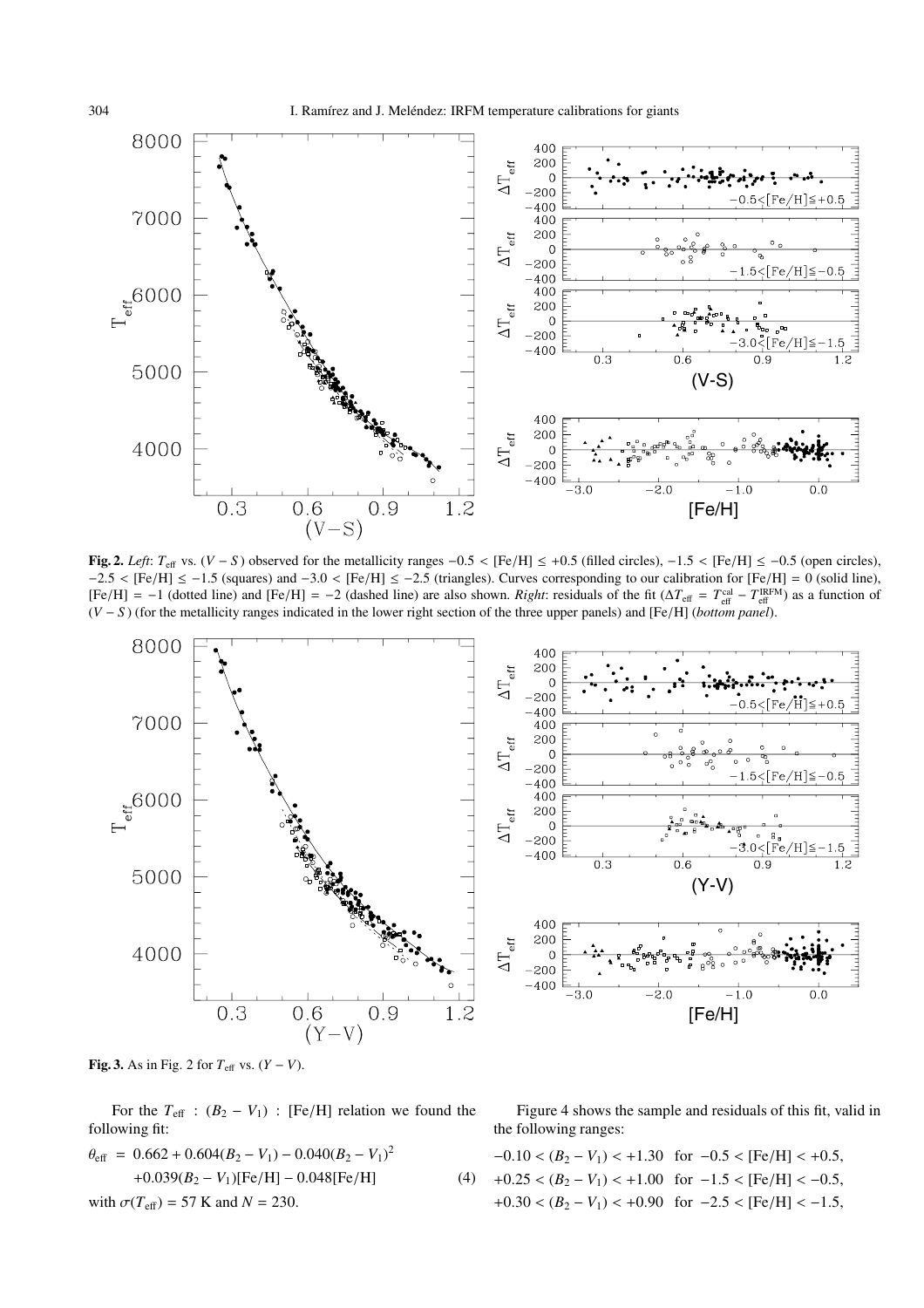

**Fig. 2.** *Left*:  $T_{\text{eff}}$  vs. (*V* − *S*) observed for the metallicity ranges  $-0.5 <$  [Fe/H]  $\le +0.5$  (filled circles),  $-1.5 <$  [Fe/H]  $\le -0.5$  (open circles),  $-2.5 <$  [Fe/H]  $\le -1.5$  (squares) and  $-3.0 <$  [Fe/H]  $\le -2.5$  (triangles). Curves corresponding to our calibration for [Fe/H] = 0 (solid line),  $[Fe/H] = -1$  (dotted line) and  $[Fe/H] = -2$  (dashed line) are also shown. *Right*: residuals of the fit ( $\Delta T_{\text{eff}} = T_{\text{eff}}^{\text{cal}} - T_{\text{eff}}^{\text{RFM}}$ ) as a function of  $(V - S)$  (for the metallicity ranges indicated in the lower right (*<sup>V</sup>* <sup>−</sup> *<sup>S</sup>* ) (for the metallicity ranges indicated in the lower right section of the three upper panels) and [Fe/H] (*bottom panel*).



**Fig. 3.** As in Fig. 2 for  $T_{\text{eff}}$  vs.  $(Y - V)$ .

For the  $T_{\text{eff}}$  :  $(B_2 - V_1)$  : [Fe/H] relation we found the following fit:

$$
\theta_{\text{eff}} = 0.662 + 0.604(B_2 - V_1) - 0.040(B_2 - V_1)^2
$$
  
+0.039(B\_2 - V\_1)[Fe/H] - 0.048[Fe/H]  
with  $\sigma(T_{\text{eff}}) = 57$  K and  $N = 230$ . (4)

Figure 4 shows the sample and residuals of this fit, valid in the following ranges:

$$
-0.10 < (B_2 - V_1) < +1.30 \quad \text{for} \quad -0.5 < [\text{Fe/H}] < +0.5,
$$
\n
$$
+0.25 < (B_2 - V_1) < +1.00 \quad \text{for} \quad -1.5 < [\text{Fe/H}] < -0.5,
$$
\n
$$
+0.30 < (B_2 - V_1) < +0.90 \quad \text{for} \quad -2.5 < [\text{Fe/H}] < -1.5,
$$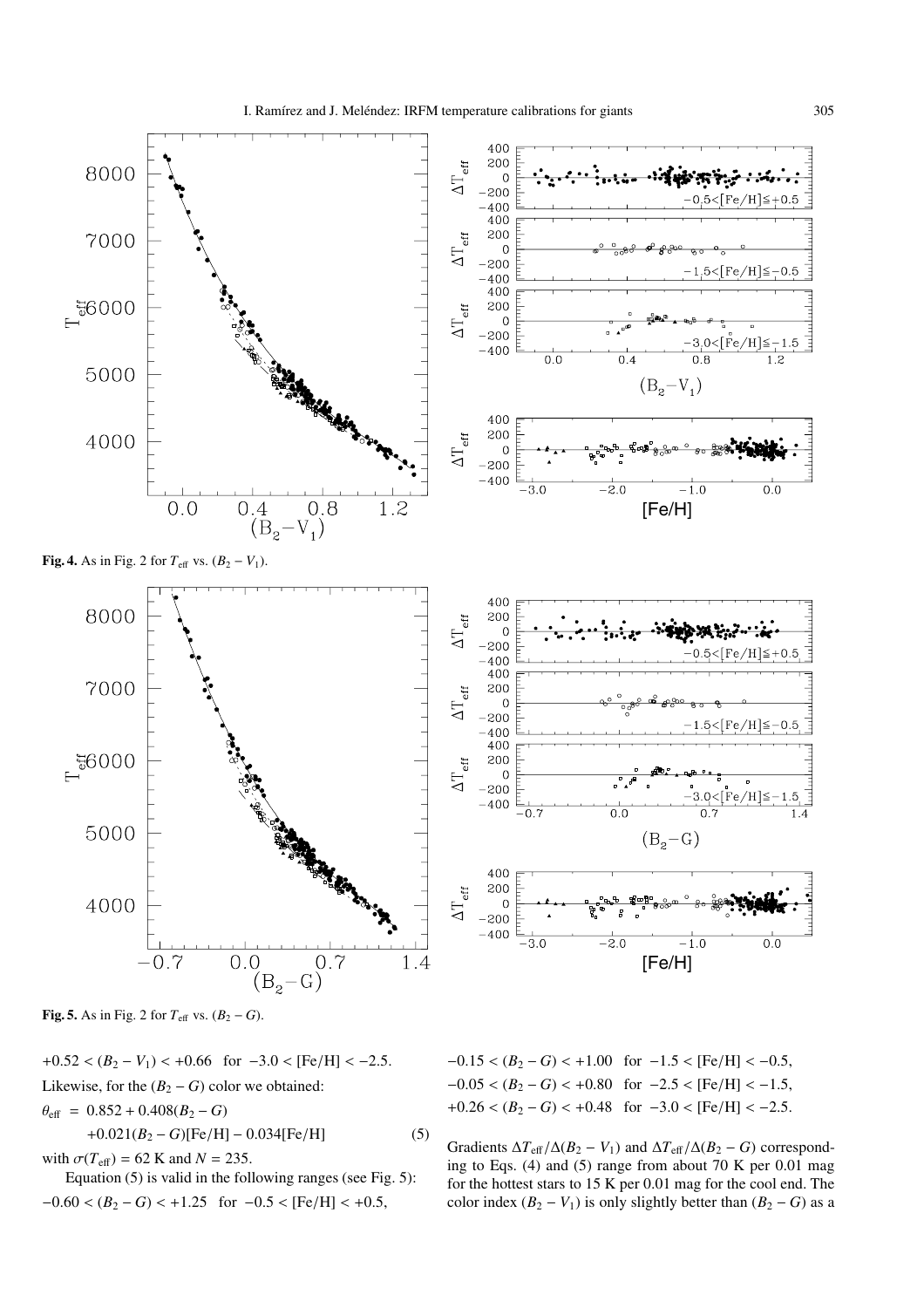

**Fig. 5.** As in Fig. 2 for  $T_{\text{eff}}$  vs.  $(B_2 - G)$ .

 $+0.52 < (B_2 - V_1) < +0.66$  for  $-3.0 <$  [Fe/H] <  $-2.5$ . Likewise, for the  $(B_2 - G)$  color we obtained:

 $\theta_{\text{eff}} = 0.852 + 0.408(B_2 - G)$ 

$$
+0.021(B_2 - G)[Fe/H] - 0.034[Fe/H]
$$
 (5)

with  $\sigma(T_{\text{eff}}) = 62$  K and  $N = 235$ .

Equation (5) is valid in the following ranges (see Fig. 5):  $-0.60 < (B_2 - G) < +1.25$  for  $-0.5 <$  [Fe/H] < +0.5,

 $-0.15 < (B_2 - G) < +1.00$  for  $-1.5 <$  [Fe/H] <  $-0.5$ ,  $-0.05 < (B_2 - G) < +0.80$  for  $-2.5 <$  [Fe/H]  $< -1.5$ ,  $+0.26 < (B_2 - G) < +0.48$  for  $-3.0 <$  [Fe/H] <  $-2.5$ .

Gradients  $\Delta T_{\text{eff}}/\Delta(B_2 - V_1)$  and  $\Delta T_{\text{eff}}/\Delta(B_2 - G)$  corresponding to Eqs. (4) and (5) range from about 70 K per 0.01 mag for the hottest stars to 15 K per 0.01 mag for the cool end. The color index  $(B_2 - V_1)$  is only slightly better than  $(B_2 - G)$  as a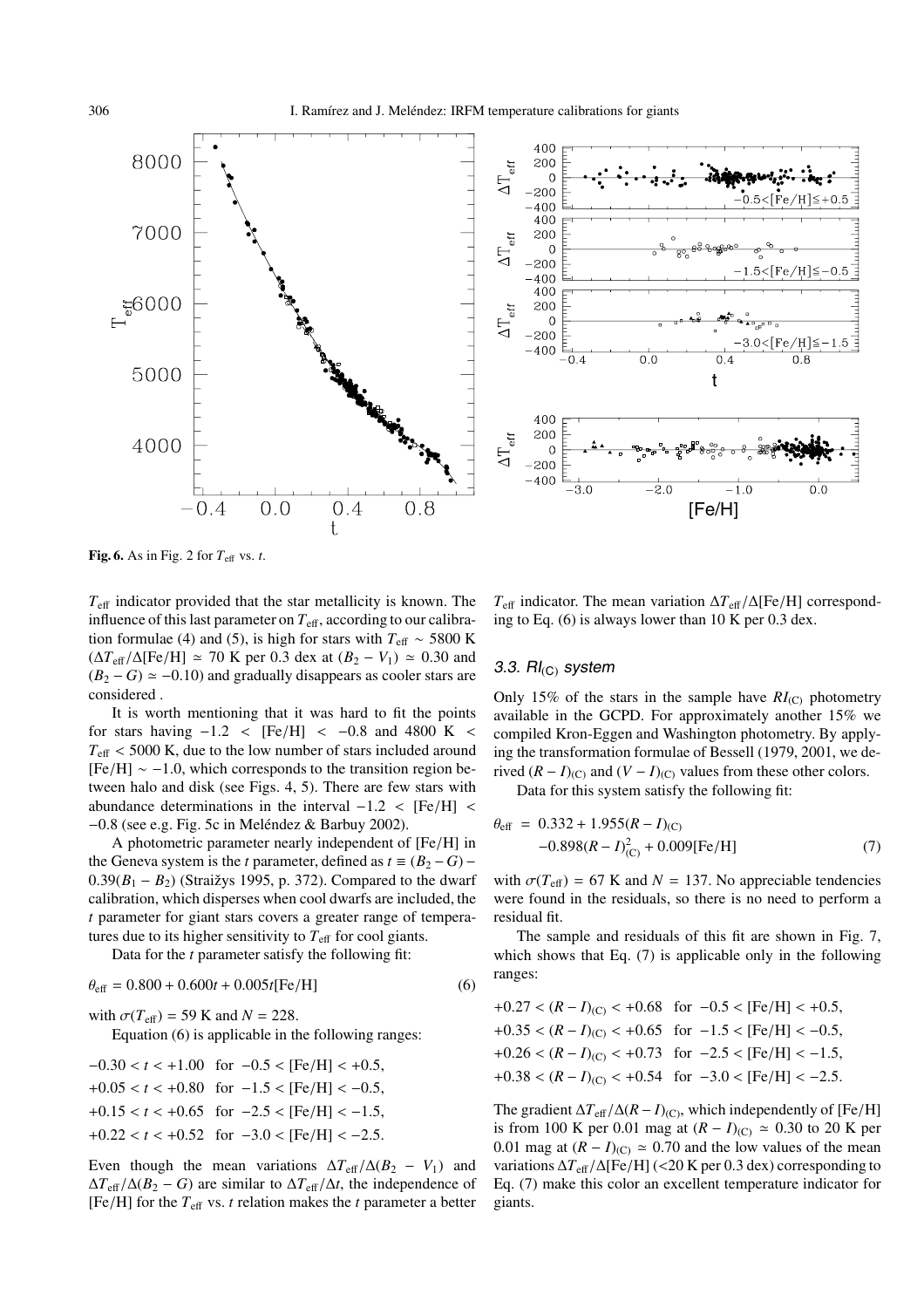



**Fig. 6.** As in Fig. 2 for  $T_{\text{eff}}$  vs. *t*.

 $T_{\text{eff}}$  indicator provided that the star metallicity is known. The influence of this last parameter on  $T_{\text{eff}}$ , according to our calibration formulae (4) and (5), is high for stars with  $T_{\text{eff}} \sim 5800 \text{ K}$  $(\Delta T_{\text{eff}}/\Delta[\text{Fe/H}] \approx 70 \text{ K}$  per 0.3 dex at  $(B_2 - V_1) \approx 0.30$  and  $(B_2 - G) \simeq -0.10$ ) and gradually disappears as cooler stars are considered .

It is worth mentioning that it was hard to fit the points for stars having  $-1.2$  < [Fe/H] <  $-0.8$  and 4800 K <  $T_{\text{eff}}$  < 5000 K, due to the low number of stars included around  $[Fe/H] \sim -1.0$ , which corresponds to the transition region between halo and disk (see Figs. 4, 5). There are few stars with abundance determinations in the interval  $-1.2 < [Fe/H]$  <  $-0.8$  (see e.g. Fig. 5c in Meléndez & Barbuy 2002).

A photometric parameter nearly independent of [Fe/H] in the Geneva system is the *t* parameter, defined as  $t \equiv (B_2 - G)$  –  $0.39(B_1 - B_2)$  (Straižys 1995, p. 372). Compared to the dwarf calibration, which disperses when cool dwarfs are included, the *t* parameter for giant stars covers a greater range of temperatures due to its higher sensitivity to  $T_{\text{eff}}$  for cool giants.

Data for the *t* parameter satisfy the following fit:

$$
\theta_{\text{eff}} = 0.800 + 0.600t + 0.005t[\text{Fe/H}] \tag{6}
$$

with  $\sigma(T_{\text{eff}}) = 59$  K and  $N = 228$ .

Equation (6) is applicable in the following ranges:

$$
-0.30 < t < +1.00 \quad \text{for} \quad -0.5 < [Fe/H] < +0.5,
$$
\n
$$
+0.05 < t < +0.80 \quad \text{for} \quad -1.5 < [Fe/H] < -0.5,
$$
\n
$$
+0.15 < t < +0.65 \quad \text{for} \quad -2.5 < [Fe/H] < -1.5,
$$
\n
$$
+0.22 < t < +0.52 \quad \text{for} \quad -3.0 < [Fe/H] < -2.5.
$$

Even though the mean variations  $\Delta T_{\text{eff}}/\Delta (B_2 - V_1)$  and  $\Delta T_{\text{eff}}/\Delta(B_2 - G)$  are similar to  $\Delta T_{\text{eff}}/\Delta t$ , the independence of [Fe/H] for the  $T_{\text{eff}}$  vs. *t* relation makes the *t* parameter a better

*<sup>T</sup>*eff indicator. The mean variation <sup>∆</sup>*T*eff/∆[Fe/H] corresponding to Eq. (6) is always lower than 10 K per 0.3 dex.

## 3.3.  $\mathsf{RI}_{\mathsf{(C)}}$  system

Only 15% of the stars in the sample have  $RI_{(C)}$  photometry available in the GCPD. For approximately another 15% we compiled Kron-Eggen and Washington photometry. By applying the transformation formulae of Bessell (1979, 2001, we derived  $(R - I)_{(C)}$  and  $(V - I)_{(C)}$  values from these other colors.

Data for this system satisfy the following fit:

$$
\theta_{\text{eff}} = 0.332 + 1.955(R - I)_{(C)}
$$
  
-0.898(R – I)<sup>2</sup><sub>(C)</sub> + 0.009[Fe/H] (7)

with  $\sigma(T_{\text{eff}}) = 67$  K and  $N = 137$ . No appreciable tendencies were found in the residuals, so there is no need to perform a residual fit.

The sample and residuals of this fit are shown in Fig. 7, which shows that Eq. (7) is applicable only in the following ranges:

$$
+0.27 < (R - I)_{(C)} < +0.68
$$
 for  $-0.5 < [Fe/H] < +0.5$ ,  $+0.35 < (R - I)_{(C)} < +0.65$  for  $-1.5 < [Fe/H] < -0.5$ ,  $+0.26 < (R - I)_{(C)} < +0.73$  for  $-2.5 < [Fe/H] < -1.5$ ,  $+0.38 < (R - I)_{(C)} < +0.54$  for  $-3.0 < [Fe/H] < -2.5$ .

The gradient  $\Delta T_{\text{eff}}/\Delta (R - I)_{\text{(C)}}$ , which independently of [Fe/H] is from 100 K per 0.01 mag at  $(R - I)_{(C)}$  ≈ 0.30 to 20 K per 0.01 mag at  $(R - I)_{(C)} \approx 0.70$  and the low values of the mean variations <sup>∆</sup>*T*<sup>e</sup>ff/∆[Fe/H] (<20 K per 0.3 dex) corresponding to Eq. (7) make this color an excellent temperature indicator for giants.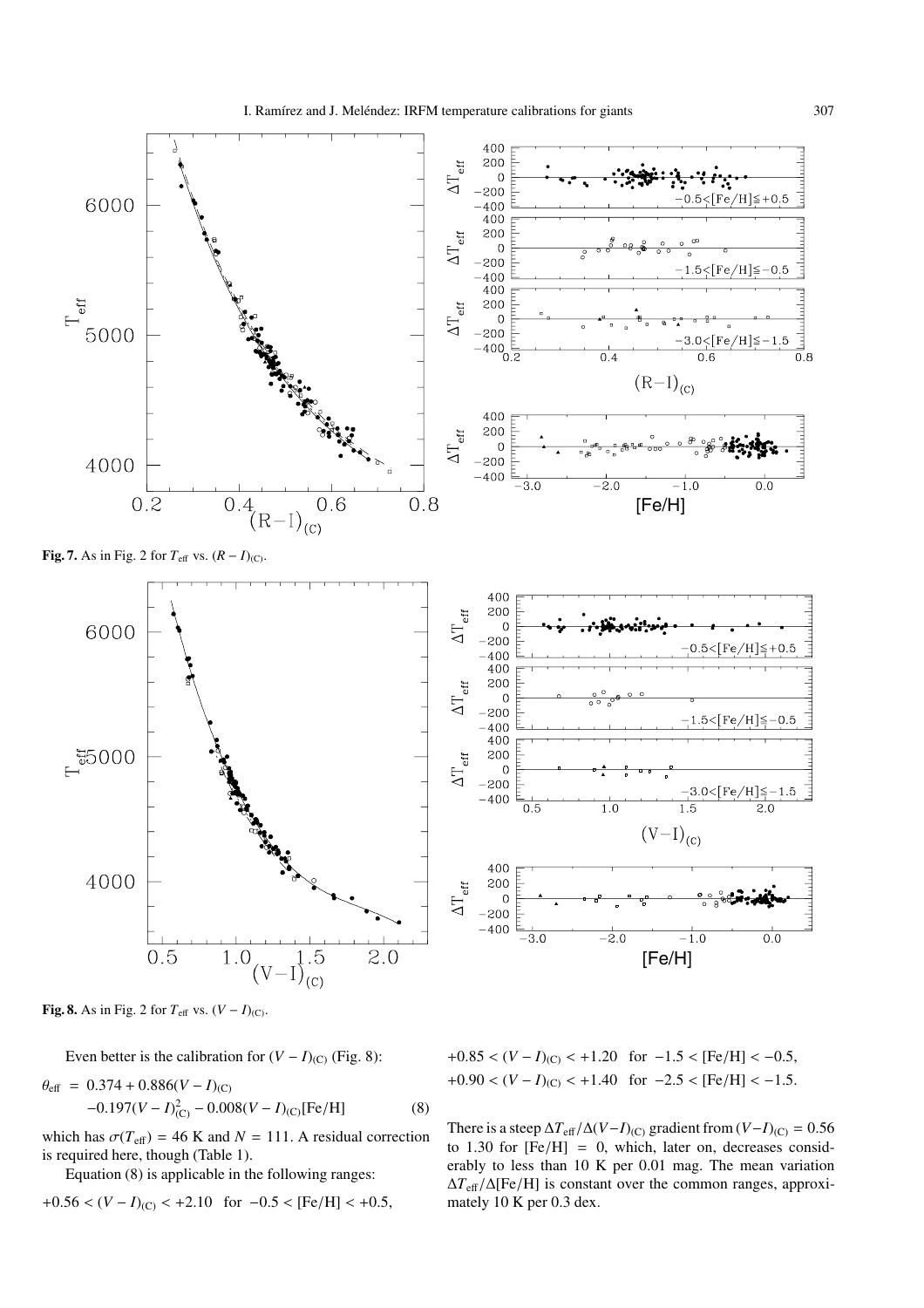

**Fig. 8.** As in Fig. 2 for  $T_{\text{eff}}$  vs.  $(V - I)_{(C)}$ .

Even better is the calibration for  $(V - I)_{(C)}$  (Fig. 8):

$$
\theta_{\text{eff}} = 0.374 + 0.886(V - I)_{(C)}
$$
  
-0.197(V – I)<sup>2</sup><sub>(C)</sub> – 0.008(V – I)<sub>(C)</sub>[Fe/H] (8)

which has  $\sigma(T_{\text{eff}}) = 46$  K and  $N = 111$ . A residual correction is required here, though (Table 1).

Equation (8) is applicable in the following ranges:

$$
+0.56 < (V - I)_{\text{(C)}} < +2.10 \text{ for } -0.5 < \text{[Fe/H]} < +0.5,
$$

 $+0.85 < (V - I)_{\text{(C)}} < +1.20$  for  $-1.5 <$  [Fe/H] <  $-0.5$ ,  $+0.90 < (V - I)_{\text{(C)}} < +1.40$  for  $-2.5 <$  [Fe/H] <  $-1.5$ .

There is a steep  $\Delta T_{\text{eff}}/\Delta (V-I)_{\text{(C)}}$  gradient from  $(V-I)_{\text{(C)}} = 0.56$ to 1.30 for  $[Fe/H] = 0$ , which, later on, decreases considerably to less than 10 K per 0.01 mag. The mean variation <sup>∆</sup>*T*<sup>e</sup>ff/∆[Fe/H] is constant over the common ranges, approximately 10 K per 0.3 dex.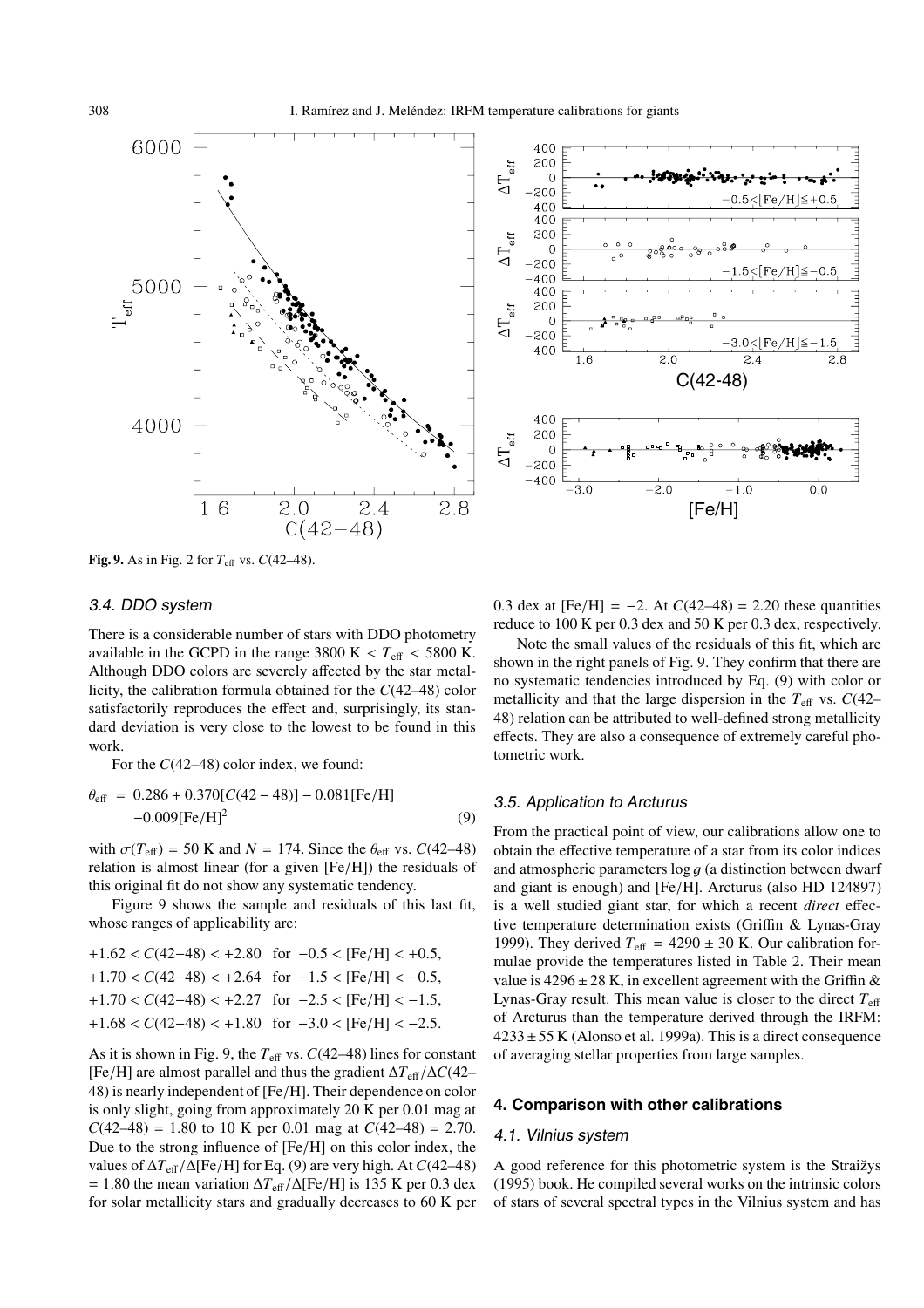



**Fig. 9.** As in Fig. 2 for  $T_{\text{eff}}$  vs.  $C(42-48)$ .

# 3.4. DDO system

There is a considerable number of stars with DDO photometry available in the GCPD in the range 3800 K  $< T<sub>eff</sub> < 5800$  K. Although DDO colors are severely affected by the star metallicity, the calibration formula obtained for the *C*(42–48) color satisfactorily reproduces the effect and, surprisingly, its standard deviation is very close to the lowest to be found in this work.

For the  $C(42–48)$  color index, we found:

$$
\theta_{\text{eff}} = 0.286 + 0.370[C(42 - 48)] - 0.081[Fe/H] -0.009[Fe/H]2
$$
 (9)

with  $\sigma(T_{\text{eff}}) = 50$  K and  $N = 174$ . Since the  $\theta_{\text{eff}}$  vs.  $C(42-48)$ relation is almost linear (for a given [Fe/H]) the residuals of this original fit do not show any systematic tendency.

Figure 9 shows the sample and residuals of this last fit, whose ranges of applicability are:

| $+1.62 < C(42-48) < +2.80$ for $-0.5 <$ [Fe/H] $< +0.5$ , |
|-----------------------------------------------------------|
| $+1.70 < C(42-48) < +2.64$ for $-1.5 <$ [Fe/H] $< -0.5$ , |
| $+1.70 < C(42-48) < +2.27$ for $-2.5 <$ [Fe/H] $< -1.5$ , |
| $+1.68 < C(42-48) < +1.80$ for $-3.0 <$ [Fe/H] $< -2.5$ . |
|                                                           |

As it is shown in Fig. 9, the  $T_{\text{eff}}$  vs.  $C(42-48)$  lines for constant [Fe/H] are almost parallel and thus the gradient <sup>∆</sup>*T*<sup>e</sup>ff/∆*C*(42– 48) is nearly independent of [Fe/H]. Their dependence on color is only slight, going from approximately 20 K per 0.01 mag at  $C(42-48) = 1.80$  to 10 K per 0.01 mag at  $C(42-48) = 2.70$ . Due to the strong influence of [Fe/H] on this color index, the values of <sup>∆</sup>*T*<sup>e</sup>ff/∆[Fe/H] for Eq. (9) are very high. At *<sup>C</sup>*(42–48)  $= 1.80$  the mean variation  $\Delta T_{\text{eff}}/\Delta$ [Fe/H] is 135 K per 0.3 dex for solar metallicity stars and gradually decreases to 60 K per 0.3 dex at  $[Fe/H] = -2$ . At  $C(42-48) = 2.20$  these quantities reduce to 100 K per 0.3 dex and 50 K per 0.3 dex, respectively.

Note the small values of the residuals of this fit, which are shown in the right panels of Fig. 9. They confirm that there are no systematic tendencies introduced by Eq. (9) with color or metallicity and that the large dispersion in the  $T_{\text{eff}}$  vs.  $C(42-$ 48) relation can be attributed to well-defined strong metallicity effects. They are also a consequence of extremely careful photometric work.

# 3.5. Application to Arcturus

From the practical point of view, our calibrations allow one to obtain the effective temperature of a star from its color indices and atmospheric parameters  $\log g$  (a distinction between dwarf and giant is enough) and [Fe/H]. Arcturus (also HD 124897) is a well studied giant star, for which a recent *direct* effective temperature determination exists (Griffin & Lynas-Gray 1999). They derived  $T_{\text{eff}} = 4290 \pm 30$  K. Our calibration formulae provide the temperatures listed in Table 2. Their mean value is  $4296 \pm 28$  K, in excellent agreement with the Griffin & Lynas-Gray result. This mean value is closer to the direct  $T_{\text{eff}}$ of Arcturus than the temperature derived through the IRFM:  $4233 \pm 55$  K (Alonso et al. 1999a). This is a direct consequence of averaging stellar properties from large samples.

# **4. Comparison with other calibrations**

#### 4.1. Vilnius system

A good reference for this photometric system is the Straižys (1995) book. He compiled several works on the intrinsic colors of stars of several spectral types in the Vilnius system and has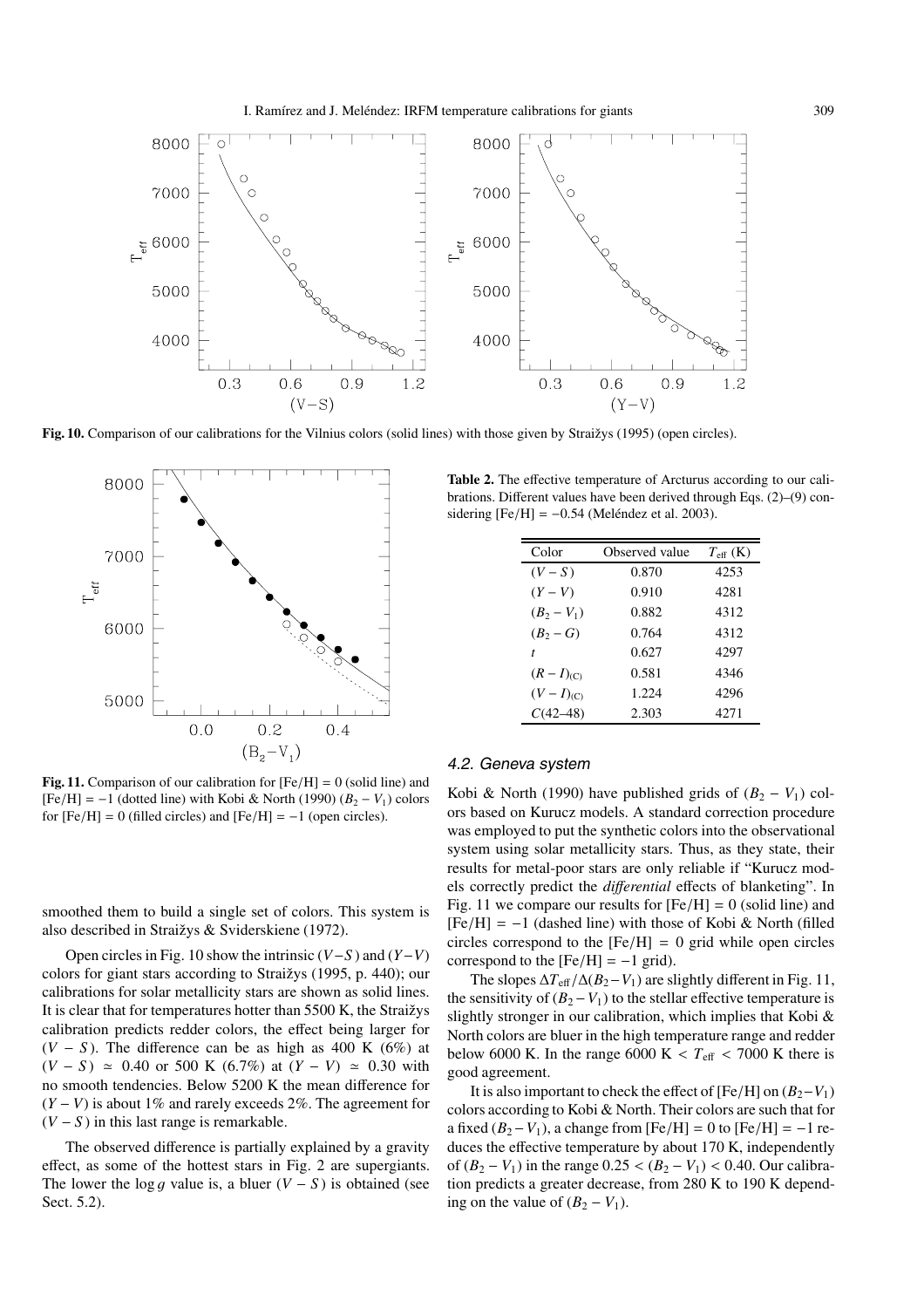

Fig. 10. Comparison of our calibrations for the Vilnius colors (solid lines) with those given by Straižys (1995) (open circles).



**Fig. 11.** Comparison of our calibration for  $[Fe/H] = 0$  (solid line) and  $[Fe/H] = -1$  (dotted line) with Kobi & North (1990)  $(B_2 - V_1)$  colors for  $[Fe/H] = 0$  (filled circles) and  $[Fe/H] = -1$  (open circles).

smoothed them to build a single set of colors. This system is also described in Straižys & Sviderskiene (1972).

Open circles in Fig. 10 show the intrinsic (*V*−*S* ) and (*Y*−*V*) colors for giant stars according to Straižys (1995, p. 440); our calibrations for solar metallicity stars are shown as solid lines. It is clear that for temperatures hotter than 5500 K, the Straižys calibration predicts redder colors, the effect being larger for  $(V - S)$ . The difference can be as high as 400 K (6%) at  $(V - S) \approx 0.40$  or 500 K (6.7%) at  $(Y - V) \approx 0.30$  with no smooth tendencies. Below 5200 K the mean difference for (*Y* − *V*) is about 1% and rarely exceeds 2%. The agreement for  $(V - S)$  in this last range is remarkable.

The observed difference is partially explained by a gravity effect, as some of the hottest stars in Fig. 2 are supergiants. The lower the log q value is, a bluer  $(V - S)$  is obtained (see Sect. 5.2).

**Table 2.** The effective temperature of Arcturus according to our calibrations. Different values have been derived through Eqs. (2)–(9) considering  $[Fe/H] = -0.54$  (Meléndez et al. 2003).

| Color           | Observed value | $T_{\rm eff}$ (K) |
|-----------------|----------------|-------------------|
| $(V-S)$         | 0.870          | 4253              |
| $(Y-V)$         | 0.910          | 4281              |
| $(B_2 - V_1)$   | 0.882          | 4312              |
| $(B_2 - G)$     | 0.764          | 4312              |
| t               | 0.627          | 4297              |
| $(R - I)_{(C)}$ | 0.581          | 4346              |
| $(V-I)_{(C)}$   | 1.224          | 4296              |
| $C(42-48)$      | 2.303          | 4271              |

# 4.2. Geneva system

Kobi & North (1990) have published grids of  $(B_2 - V_1)$  colors based on Kurucz models. A standard correction procedure was employed to put the synthetic colors into the observational system using solar metallicity stars. Thus, as they state, their results for metal-poor stars are only reliable if "Kurucz models correctly predict the *di*ff*erential* effects of blanketing". In Fig. 11 we compare our results for  $[Fe/H] = 0$  (solid line) and  $[Fe/H] = -1$  (dashed line) with those of Kobi & North (filled circles correspond to the  $[Fe/H] = 0$  grid while open circles correspond to the  $[Fe/H] = -1$  grid).

The slopes  $\Delta T_{\text{eff}}/\Delta (B_2 - V_1)$  are slightly different in Fig. 11, the sensitivity of  $(B_2 - V_1)$  to the stellar effective temperature is slightly stronger in our calibration, which implies that Kobi & North colors are bluer in the high temperature range and redder below 6000 K. In the range 6000 K  $< T<sub>eff</sub> < 7000$  K there is good agreement.

It is also important to check the effect of  $[Fe/H]$  on  $(B_2-V_1)$ colors according to Kobi & North. Their colors are such that for a fixed  $(B_2 - V_1)$ , a change from  $[Fe/H] = 0$  to  $[Fe/H] = -1$  reduces the effective temperature by about 170 K, independently of  $(B_2 - V_1)$  in the range  $0.25 < (B_2 - V_1) < 0.40$ . Our calibration predicts a greater decrease, from 280 K to 190 K depending on the value of  $(B_2 - V_1)$ .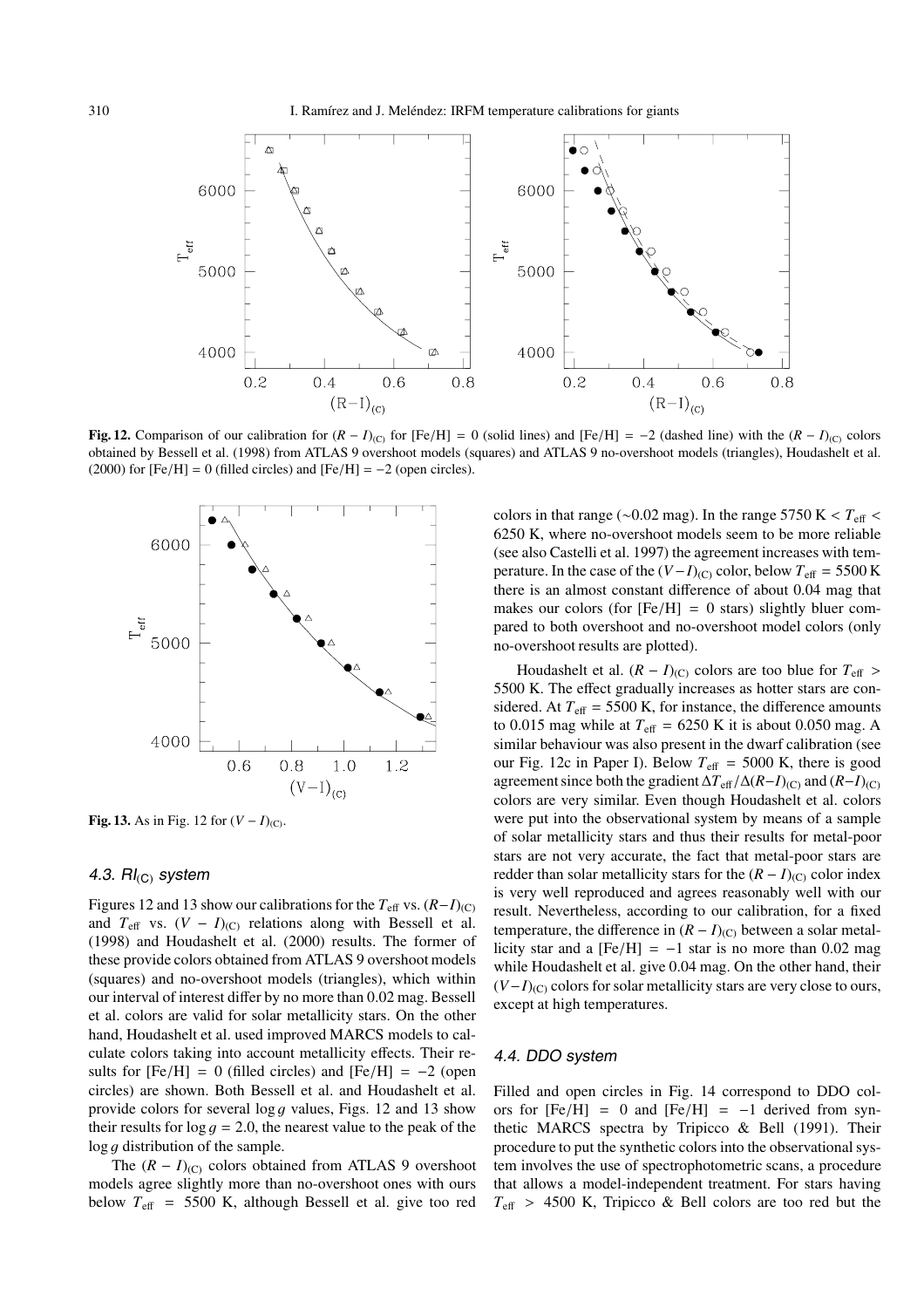

**Fig. 12.** Comparison of our calibration for  $(R - I)_{(C)}$  for [Fe/H] = 0 (solid lines) and [Fe/H] = −2 (dashed line) with the  $(R - I)_{(C)}$  colors obtained by Bessell et al. (1998) from ATLAS 9 overshoot models (squares) and ATLAS 9 no-overshoot models (triangles), Houdashelt et al. (2000) for  $[Fe/H] = 0$  (filled circles) and  $[Fe/H] = -2$  (open circles).



**Fig. 13.** As in Fig. 12 for  $(V - I)_{(C)}$ .

# 4.3.  $\mathsf{RI}_{(C)}$  system

Figures 12 and 13 show our calibrations for the  $T_{\text{eff}}$  vs.  $(R-I)_{(C)}$ and  $T_{\text{eff}}$  vs.  $(V - I)_{(C)}$  relations along with Bessell et al. (1998) and Houdashelt et al. (2000) results. The former of these provide colors obtained from ATLAS 9 overshoot models (squares) and no-overshoot models (triangles), which within our interval of interest differ by no more than 0.02 mag. Bessell et al. colors are valid for solar metallicity stars. On the other hand, Houdashelt et al. used improved MARCS models to calculate colors taking into account metallicity effects. Their results for  $[Fe/H] = 0$  (filled circles) and  $[Fe/H] = -2$  (open circles) are shown. Both Bessell et al. and Houdashelt et al. provide colors for several log g values, Figs. 12 and 13 show their results for  $log q = 2.0$ , the nearest value to the peak of the  $\log q$  distribution of the sample.

The  $(R - I)_{(C)}$  colors obtained from ATLAS 9 overshoot models agree slightly more than no-overshoot ones with ours below  $T_{\text{eff}}$  = 5500 K, although Bessell et al. give too red colors in that range ( $\sim$ 0.02 mag). In the range 5750 K <  $T_{\text{eff}}$  < 6250 K, where no-overshoot models seem to be more reliable (see also Castelli et al. 1997) the agreement increases with temperature. In the case of the  $(V-I)_{(C)}$  color, below  $T_{\text{eff}} = 5500 \text{ K}$ there is an almost constant difference of about 0.04 mag that makes our colors (for  $[Fe/H] = 0$  stars) slightly bluer compared to both overshoot and no-overshoot model colors (only no-overshoot results are plotted).

Houdashelt et al.  $(R - I)_{(C)}$  colors are too blue for  $T_{\text{eff}} >$ 5500 K. The effect gradually increases as hotter stars are considered. At  $T_{\text{eff}}$  = 5500 K, for instance, the difference amounts to 0.015 mag while at  $T_{\text{eff}}$  = 6250 K it is about 0.050 mag. A similar behaviour was also present in the dwarf calibration (see our Fig. 12c in Paper I). Below  $T_{\text{eff}} = 5000$  K, there is good agreement since both the gradient  $\Delta T_{\text{eff}}/\Delta (R-I)_{\text{(C)}}$  and  $(R-I)_{\text{(C)}}$ colors are very similar. Even though Houdashelt et al. colors were put into the observational system by means of a sample of solar metallicity stars and thus their results for metal-poor stars are not very accurate, the fact that metal-poor stars are redder than solar metallicity stars for the  $(R - I)_{(C)}$  color index is very well reproduced and agrees reasonably well with our result. Nevertheless, according to our calibration, for a fixed temperature, the difference in  $(R - I)_{(C)}$  between a solar metallicity star and a  $[Fe/H] = -1$  star is no more than 0.02 mag while Houdashelt et al. give 0.04 mag. On the other hand, their  $(V-I)_{(C)}$  colors for solar metallicity stars are very close to ours, except at high temperatures.

## 4.4. DDO system

Filled and open circles in Fig. 14 correspond to DDO colors for  $[Fe/H] = 0$  and  $[Fe/H] = -1$  derived from synthetic MARCS spectra by Tripicco & Bell (1991). Their procedure to put the synthetic colors into the observational system involves the use of spectrophotometric scans, a procedure that allows a model-independent treatment. For stars having  $T_{\text{eff}}$  > 4500 K, Tripicco & Bell colors are too red but the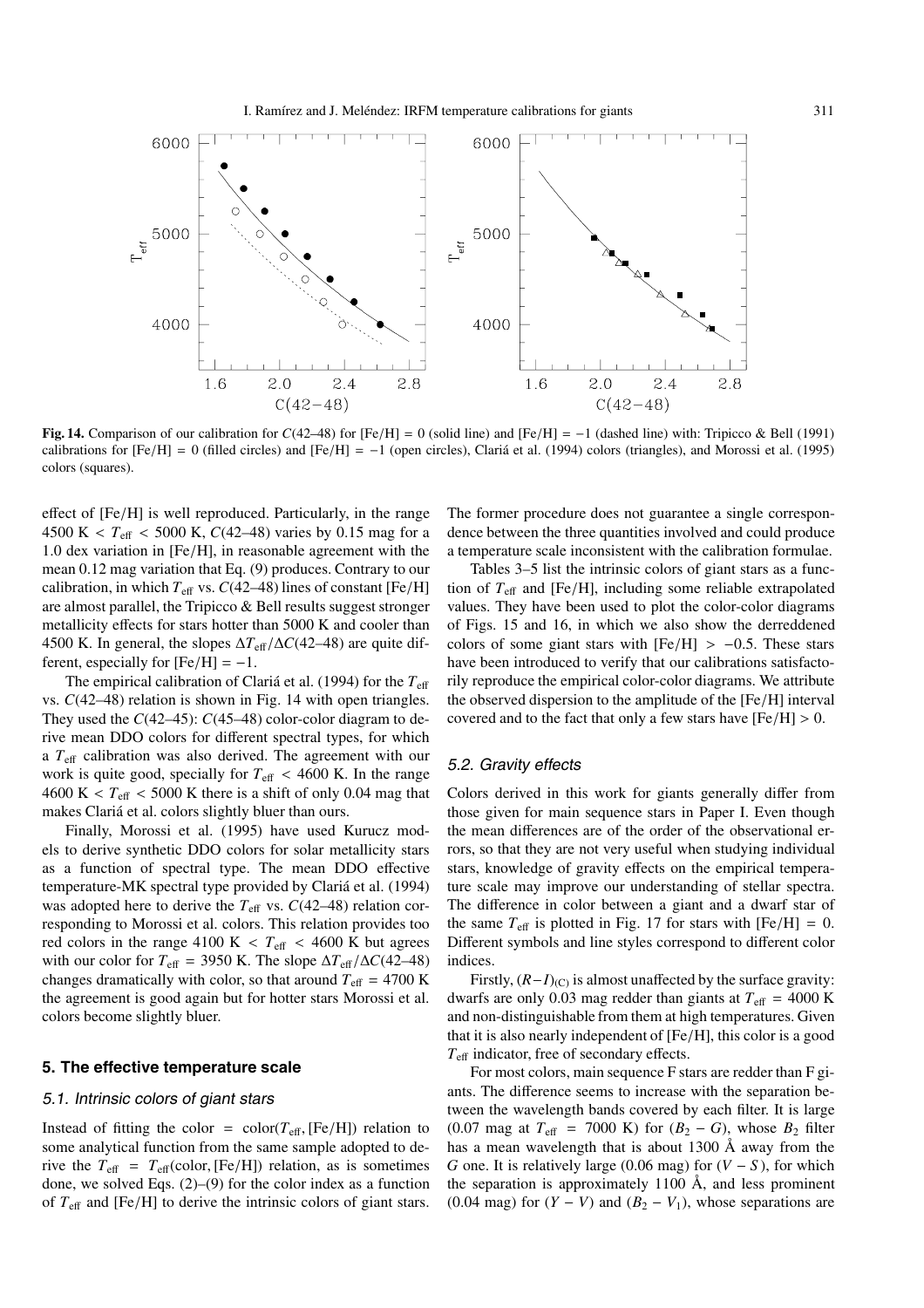

**Fig. 14.** Comparison of our calibration for *<sup>C</sup>*(42–48) for [Fe/H] <sup>=</sup> 0 (solid line) and [Fe/H] <sup>=</sup> <sup>−</sup>1 (dashed line) with: Tripicco & Bell (1991) calibrations for  $[Fe/H] = 0$  (filled circles) and  $[Fe/H] = -1$  (open circles), Clariá et al. (1994) colors (triangles), and Morossi et al. (1995) colors (squares).

<sup>e</sup>ffect of [Fe/H] is well reproduced. Particularly, in the range 4500 K <  $T_{\text{eff}}$  < 5000 K, *C*(42–48) varies by 0.15 mag for a 1.0 dex variation in [Fe/H], in reasonable agreement with the mean 0.12 mag variation that Eq. (9) produces. Contrary to our calibration, in which  $T_{\text{eff}}$  vs.  $C(42-48)$  lines of constant [Fe/H] are almost parallel, the Tripicco & Bell results suggest stronger metallicity effects for stars hotter than 5000 K and cooler than 4500 K. In general, the slopes <sup>∆</sup>*T*eff/∆*C*(42–48) are quite different, especially for  $[Fe/H] = -1$ .

The empirical calibration of Clariá et al. (1994) for the  $T_{\text{eff}}$ vs. *C*(42–48) relation is shown in Fig. 14 with open triangles. They used the *C*(42–45): *C*(45–48) color-color diagram to derive mean DDO colors for different spectral types, for which a  $T_{\text{eff}}$  calibration was also derived. The agreement with our work is quite good, specially for  $T_{\text{eff}} < 4600$  K. In the range  $4600 \text{ K} < T_{\text{eff}} < 5000 \text{ K}$  there is a shift of only 0.04 mag that makes Clariá et al. colors slightly bluer than ours.

Finally, Morossi et al. (1995) have used Kurucz models to derive synthetic DDO colors for solar metallicity stars as a function of spectral type. The mean DDO effective temperature-MK spectral type provided by Clariá et al. (1994) was adopted here to derive the  $T_{\text{eff}}$  vs.  $C(42-48)$  relation corresponding to Morossi et al. colors. This relation provides too red colors in the range 4100 K  $\lt$   $T_{\text{eff}}$   $\lt$  4600 K but agrees with our color for  $T_{\text{eff}}$  = 3950 K. The slope  $\Delta T_{\text{eff}}/\Delta C(42-48)$ changes dramatically with color, so that around  $T_{\text{eff}} = 4700 \text{ K}$ the agreement is good again but for hotter stars Morossi et al. colors become slightly bluer.

### **5. The effective temperature scale**

# 5.1. Intrinsic colors of giant stars

Instead of fitting the color =  $\text{color}(T_{\text{eff}}, \text{[Fe/H]})$  relation to some analytical function from the same sample adopted to derive the  $T_{\text{eff}} = T_{\text{eff}}(\text{color}, [Fe/H])$  relation, as is sometimes done, we solved Eqs. (2)–(9) for the color index as a function of *<sup>T</sup>*<sup>e</sup>ff and [Fe/H] to derive the intrinsic colors of giant stars.

The former procedure does not guarantee a single correspondence between the three quantities involved and could produce a temperature scale inconsistent with the calibration formulae.

Tables 3–5 list the intrinsic colors of giant stars as a function of *<sup>T</sup>*eff and [Fe/H], including some reliable extrapolated values. They have been used to plot the color-color diagrams of Figs. 15 and 16, in which we also show the derreddened colors of some giant stars with  $[Fe/H] > -0.5$ . These stars have been introduced to verify that our calibrations satisfactorily reproduce the empirical color-color diagrams. We attribute the observed dispersion to the amplitude of the [Fe/H] interval covered and to the fact that only a few stars have  $[Fe/H] > 0$ .

### 5.2. Gravity effects

Colors derived in this work for giants generally differ from those given for main sequence stars in Paper I. Even though the mean differences are of the order of the observational errors, so that they are not very useful when studying individual stars, knowledge of gravity effects on the empirical temperature scale may improve our understanding of stellar spectra. The difference in color between a giant and a dwarf star of the same  $T_{\text{eff}}$  is plotted in Fig. 17 for stars with  $[Fe/H] = 0$ . Different symbols and line styles correspond to different color indices.

Firstly,  $(R-I)_{(C)}$  is almost unaffected by the surface gravity: dwarfs are only 0.03 mag redder than giants at  $T_{\text{eff}} = 4000 \text{ K}$ and non-distinguishable from them at high temperatures. Given that it is also nearly independent of [Fe/H], this color is a good  $T_{\text{eff}}$  indicator, free of secondary effects.

For most colors, main sequence F stars are redder than F giants. The difference seems to increase with the separation between the wavelength bands covered by each filter. It is large (0.07 mag at  $T_{\text{eff}}$  = 7000 K) for  $(B_2 - G)$ , whose  $B_2$  filter has a mean wavelength that is about 1300 Å away from the *G* one. It is relatively large (0.06 mag) for  $(V - S)$ , for which the separation is approximately 1100  $\AA$ , and less prominent (0.04 mag) for  $(Y - V)$  and  $(B_2 - V_1)$ , whose separations are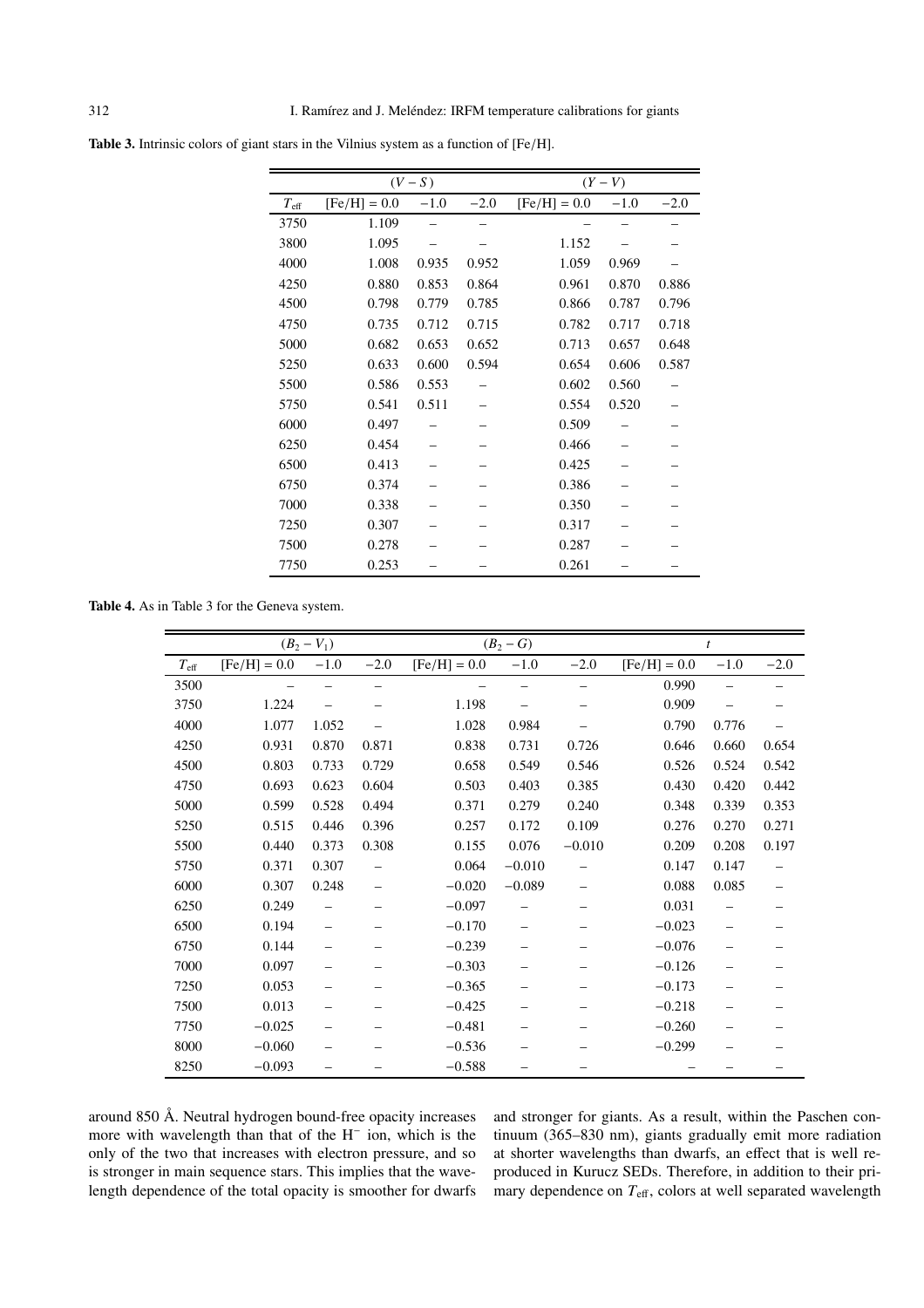|               |                | $(V-S)$ |        | $(Y-V)$        |        |        |  |  |
|---------------|----------------|---------|--------|----------------|--------|--------|--|--|
| $T_{\rm eff}$ | $[Fe/H] = 0.0$ | $-1.0$  | $-2.0$ | $[Fe/H] = 0.0$ | $-1.0$ | $-2.0$ |  |  |
| 3750          | 1.109          |         |        |                |        |        |  |  |
| 3800          | 1.095          |         |        | 1.152          |        |        |  |  |
| 4000          | 1.008          | 0.935   | 0.952  | 1.059          | 0.969  |        |  |  |
| 4250          | 0.880          | 0.853   | 0.864  | 0.961          | 0.870  | 0.886  |  |  |
| 4500          | 0.798          | 0.779   | 0.785  | 0.866          | 0.787  | 0.796  |  |  |
| 4750          | 0.735          | 0.712   | 0.715  | 0.782          | 0.717  | 0.718  |  |  |
| 5000          | 0.682          | 0.653   | 0.652  | 0.713          | 0.657  | 0.648  |  |  |
| 5250          | 0.633          | 0.600   | 0.594  | 0.654          | 0.606  | 0.587  |  |  |
| 5500          | 0.586          | 0.553   |        | 0.602          | 0.560  |        |  |  |
| 5750          | 0.541          | 0.511   |        | 0.554          | 0.520  |        |  |  |
| 6000          | 0.497          |         |        | 0.509          |        |        |  |  |
| 6250          | 0.454          |         |        | 0.466          |        |        |  |  |
| 6500          | 0.413          |         |        | 0.425          |        |        |  |  |
| 6750          | 0.374          |         |        | 0.386          |        |        |  |  |
| 7000          | 0.338          |         |        | 0.350          |        |        |  |  |
| 7250          | 0.307          |         |        | 0.317          |        |        |  |  |
| 7500          | 0.278          |         |        | 0.287          |        |        |  |  |
| 7750          | 0.253          |         |        | 0.261          |        |        |  |  |

**Table 3.** Intrinsic colors of giant stars in the Vilnius system as a function of [Fe/H].

 $\overline{\phantom{a}}$ 

**Table 4.** As in Table 3 for the Geneva system.

|               |                | $(B_2 - V_1)$ |        |                | $(B_2 - G)$ |          | $\boldsymbol{t}$ |        |        |  |
|---------------|----------------|---------------|--------|----------------|-------------|----------|------------------|--------|--------|--|
| $T_{\rm eff}$ | $[Fe/H] = 0.0$ | $-1.0$        | $-2.0$ | $[Fe/H] = 0.0$ | $-1.0$      | $-2.0$   | $[Fe/H] = 0.0$   | $-1.0$ | $-2.0$ |  |
| 3500          |                |               |        |                |             |          | 0.990            |        |        |  |
| 3750          | 1.224          |               |        | 1.198          |             |          | 0.909            |        |        |  |
| 4000          | 1.077          | 1.052         |        | 1.028          | 0.984       |          | 0.790            | 0.776  |        |  |
| 4250          | 0.931          | 0.870         | 0.871  | 0.838          | 0.731       | 0.726    | 0.646            | 0.660  | 0.654  |  |
| 4500          | 0.803          | 0.733         | 0.729  | 0.658          | 0.549       | 0.546    | 0.526            | 0.524  | 0.542  |  |
| 4750          | 0.693          | 0.623         | 0.604  | 0.503          | 0.403       | 0.385    | 0.430            | 0.420  | 0.442  |  |
| 5000          | 0.599          | 0.528         | 0.494  | 0.371          | 0.279       | 0.240    | 0.348            | 0.339  | 0.353  |  |
| 5250          | 0.515          | 0.446         | 0.396  | 0.257          | 0.172       | 0.109    | 0.276            | 0.270  | 0.271  |  |
| 5500          | 0.440          | 0.373         | 0.308  | 0.155          | 0.076       | $-0.010$ | 0.209            | 0.208  | 0.197  |  |
| 5750          | 0.371          | 0.307         |        | 0.064          | $-0.010$    |          | 0.147            | 0.147  |        |  |
| 6000          | 0.307          | 0.248         |        | $-0.020$       | $-0.089$    |          | 0.088            | 0.085  | —      |  |
| 6250          | 0.249          |               |        | $-0.097$       |             |          | 0.031            |        |        |  |
| 6500          | 0.194          |               |        | $-0.170$       |             |          | $-0.023$         |        |        |  |
| 6750          | 0.144          |               |        | $-0.239$       |             |          | $-0.076$         |        |        |  |
| 7000          | 0.097          |               |        | $-0.303$       |             |          | $-0.126$         |        |        |  |
| 7250          | 0.053          |               |        | $-0.365$       |             |          | $-0.173$         |        |        |  |
| 7500          | 0.013          |               |        | $-0.425$       |             |          | $-0.218$         |        |        |  |
| 7750          | $-0.025$       |               |        | $-0.481$       |             |          | $-0.260$         |        |        |  |
| 8000          | $-0.060$       |               |        | $-0.536$       |             |          | $-0.299$         |        |        |  |
| 8250          | $-0.093$       |               |        | $-0.588$       |             |          |                  |        |        |  |

around 850 Å. Neutral hydrogen bound-free opacity increases more with wavelength than that of the H<sup>−</sup> ion, which is the only of the two that increases with electron pressure, and so is stronger in main sequence stars. This implies that the wavelength dependence of the total opacity is smoother for dwarfs and stronger for giants. As a result, within the Paschen continuum (365–830 nm), giants gradually emit more radiation at shorter wavelengths than dwarfs, an effect that is well reproduced in Kurucz SEDs. Therefore, in addition to their primary dependence on  $T_{\text{eff}}$ , colors at well separated wavelength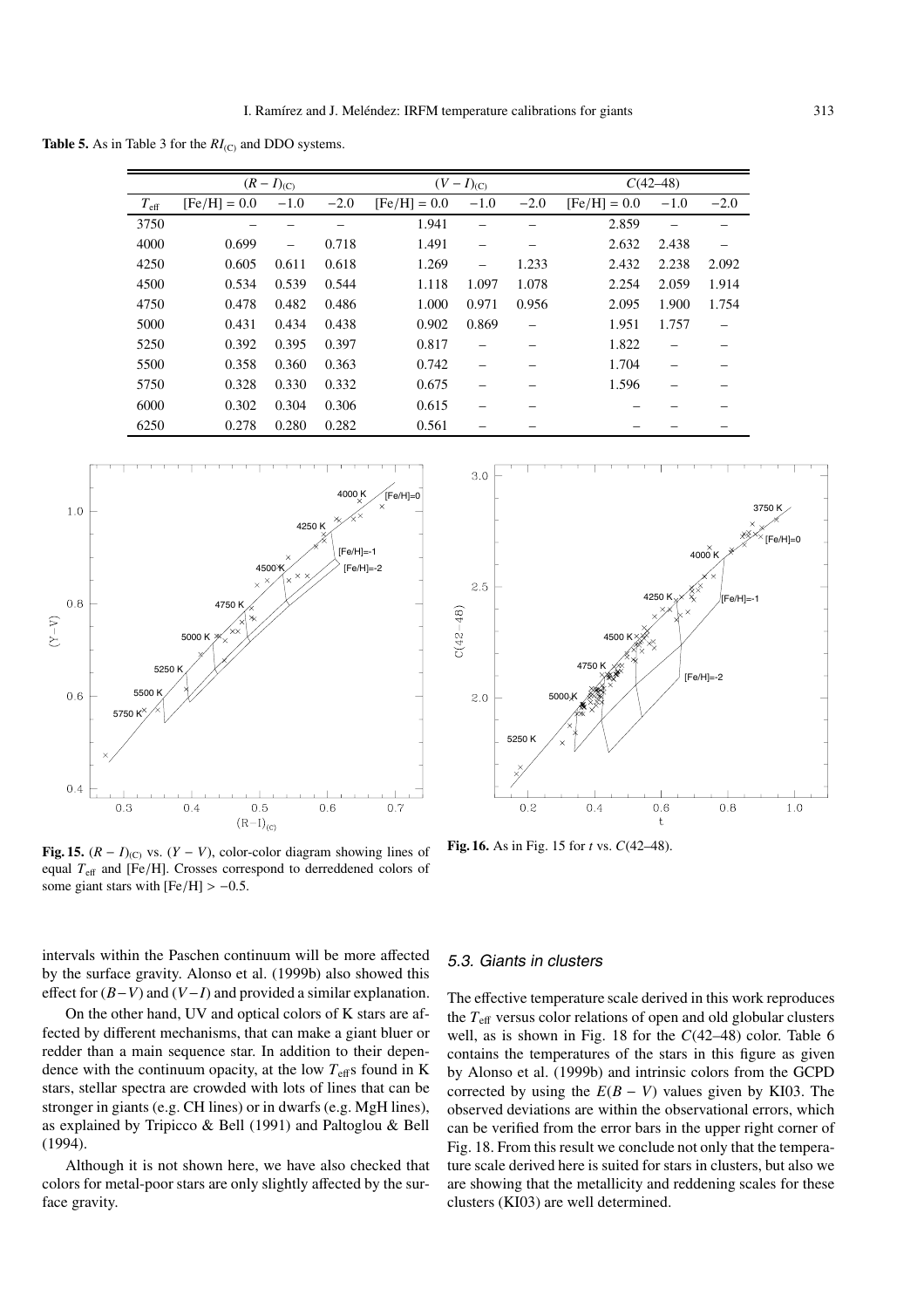**Table 5.** As in Table 3 for the  $RI_{(C)}$  and DDO systems.

|               |                | $(R - I)_{(C)}$ |        |                | $(V-I)_{(C)}$ |        | $C(42-48)$     |                                |        |
|---------------|----------------|-----------------|--------|----------------|---------------|--------|----------------|--------------------------------|--------|
| $T_{\rm eff}$ | $[Fe/H] = 0.0$ | $-1.0$          | $-2.0$ | $[Fe/H] = 0.0$ | $-1.0$        | $-2.0$ | $[Fe/H] = 0.0$ | $-1.0$                         | $-2.0$ |
| 3750          |                |                 |        | 1.941          |               |        | 2.859          | $\qquad \qquad \longleftarrow$ |        |
| 4000          | 0.699          |                 | 0.718  | 1.491          |               |        | 2.632          | 2.438                          |        |
| 4250          | 0.605          | 0.611           | 0.618  | 1.269          |               | 1.233  | 2.432          | 2.238                          | 2.092  |
| 4500          | 0.534          | 0.539           | 0.544  | 1.118          | 1.097         | 1.078  | 2.254          | 2.059                          | 1.914  |
| 4750          | 0.478          | 0.482           | 0.486  | 1.000          | 0.971         | 0.956  | 2.095          | 1.900                          | 1.754  |
| 5000          | 0.431          | 0.434           | 0.438  | 0.902          | 0.869         |        | 1.951          | 1.757                          |        |
| 5250          | 0.392          | 0.395           | 0.397  | 0.817          |               |        | 1.822          |                                |        |
| 5500          | 0.358          | 0.360           | 0.363  | 0.742          |               |        | 1.704          |                                |        |
| 5750          | 0.328          | 0.330           | 0.332  | 0.675          |               |        | 1.596          |                                |        |
| 6000          | 0.302          | 0.304           | 0.306  | 0.615          |               |        |                |                                |        |
| 6250          | 0.278          | 0.280           | 0.282  | 0.561          |               |        |                |                                |        |



**Fig. 15.**  $(R - I)_{(C)}$  vs.  $(Y - V)$ , color-color diagram showing lines of equal  $T_{\text{eff}}$  and [Fe/H]. Crosses correspond to derreddened colors of some giant stars with  $[Fe/H] > -0.5$ .

intervals within the Paschen continuum will be more affected by the surface gravity. Alonso et al. (1999b) also showed this effect for (*B*−*V*) and (*V*−*I*) and provided a similar explanation.

On the other hand, UV and optical colors of K stars are affected by different mechanisms, that can make a giant bluer or redder than a main sequence star. In addition to their dependence with the continuum opacity, at the low  $T_{\text{eff}}$ s found in K stars, stellar spectra are crowded with lots of lines that can be stronger in giants (e.g. CH lines) or in dwarfs (e.g. MgH lines), as explained by Tripicco & Bell (1991) and Paltoglou & Bell (1994).

Although it is not shown here, we have also checked that colors for metal-poor stars are only slightly affected by the surface gravity.



**Fig. 16.** As in Fig. 15 for *t* vs. *C*(42–48).

# 5.3. Giants in clusters

The effective temperature scale derived in this work reproduces the *T*<sup>e</sup>ff versus color relations of open and old globular clusters well, as is shown in Fig. 18 for the *C*(42–48) color. Table 6 contains the temperatures of the stars in this figure as given by Alonso et al. (1999b) and intrinsic colors from the GCPD corrected by using the  $E(B - V)$  values given by KI03. The observed deviations are within the observational errors, which can be verified from the error bars in the upper right corner of Fig. 18. From this result we conclude not only that the temperature scale derived here is suited for stars in clusters, but also we are showing that the metallicity and reddening scales for these clusters (KI03) are well determined.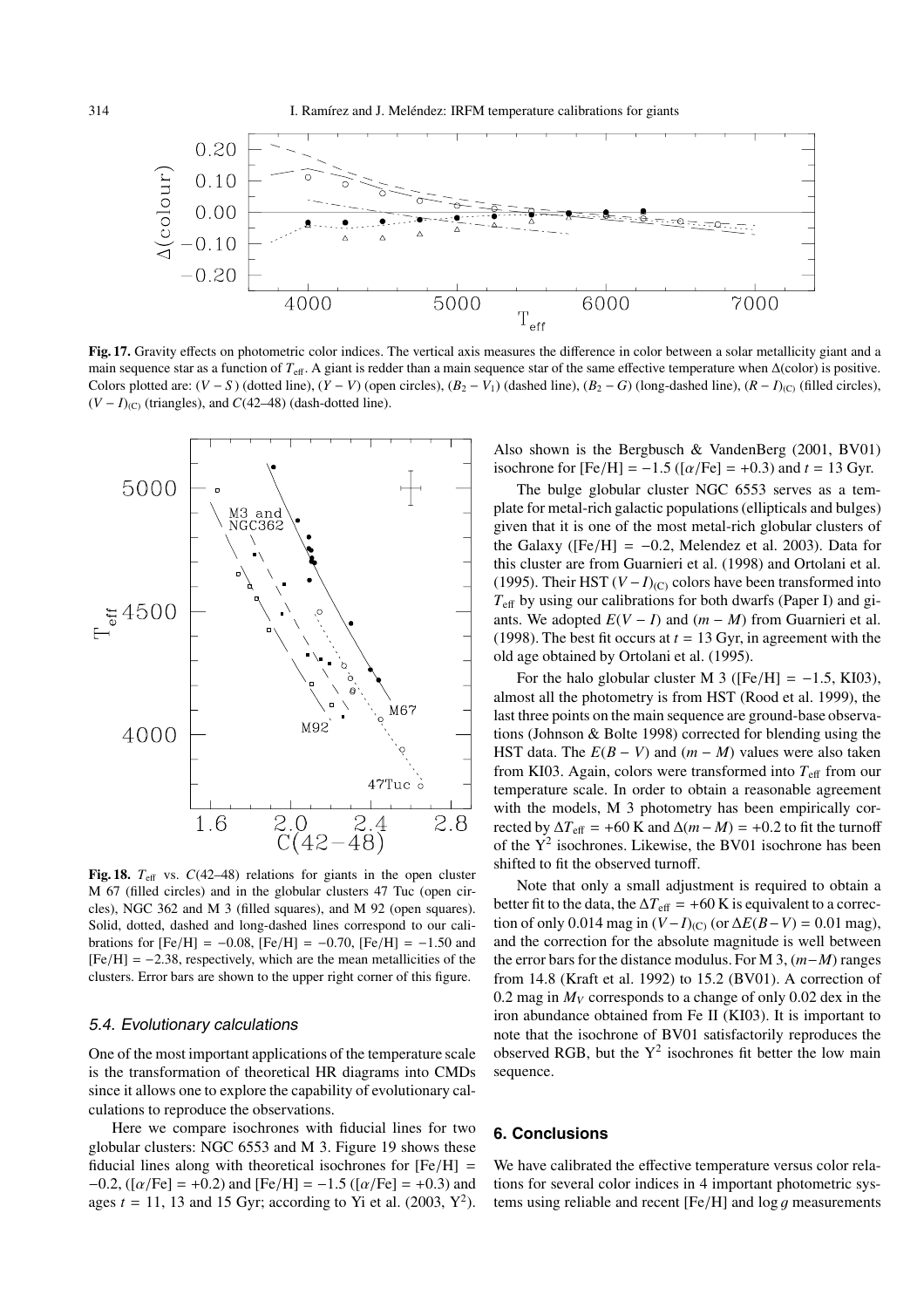

**Fig. 17.** Gravity effects on photometric color indices. The vertical axis measures the difference in color between a solar metallicity giant and a main sequence star as a function of  $T_{\text{eff}}$ . A giant is redder than a main sequence star of the same effective temperature when  $\Delta$ (color) is positive. Colors plotted are:  $(V - S)$  (dotted line),  $(Y - V)$  (open circles),  $(B_2 - V_1)$  (dashed line),  $(B_2 - G)$  (long-dashed line),  $(R - I)_{(C)}$  (filled circles),  $(V - I)_{(C)}$  (triangles), and  $C(42-48)$  (dash-dotted line).



**Fig. 18.**  $T_{\text{eff}}$  vs.  $C(42-48)$  relations for giants in the open cluster M 67 (filled circles) and in the globular clusters 47 Tuc (open circles), NGC 362 and M 3 (filled squares), and M 92 (open squares). Solid, dotted, dashed and long-dashed lines correspond to our calibrations for [Fe/H] =  $-0.08$ , [Fe/H] =  $-0.70$ , [Fe/H] =  $-1.50$  and  $[Fe/H] = -2.38$ , respectively, which are the mean metallicities of the clusters. Error bars are shown to the upper right corner of this figure.

# 5.4. Evolutionary calculations

One of the most important applications of the temperature scale is the transformation of theoretical HR diagrams into CMDs since it allows one to explore the capability of evolutionary calculations to reproduce the observations.

Here we compare isochrones with fiducial lines for two globular clusters: NGC 6553 and M 3. Figure 19 shows these fiducial lines along with theoretical isochrones for  $[Fe/H]$  =  $-0.2$ , ([ $\alpha$ /Fe] = +0.2) and [Fe/H] = -1.5 ([ $\alpha$ /Fe] = +0.3) and ages  $t = 11$ , 13 and 15 Gyr; according to Yi et al. (2003,  $Y^2$ ). Also shown is the Bergbusch & VandenBerg (2001, BV01) isochrone for  $[Fe/H] = -1.5$  ( $[\alpha/Fe] = +0.3$ ) and  $t = 13$  Gyr.

The bulge globular cluster NGC 6553 serves as a template for metal-rich galactic populations (ellipticals and bulges) given that it is one of the most metal-rich globular clusters of the Galaxy ( $[Fe/H] = -0.2$ , Melendez et al. 2003). Data for this cluster are from Guarnieri et al. (1998) and Ortolani et al. (1995). Their HST  $(V-I)_{(C)}$  colors have been transformed into *T*eff by using our calibrations for both dwarfs (Paper I) and giants. We adopted  $E(V - I)$  and  $(m - M)$  from Guarnieri et al. (1998). The best fit occurs at  $t = 13$  Gyr, in agreement with the old age obtained by Ortolani et al. (1995).

For the halo globular cluster M 3 ( $[Fe/H] = -1.5$ , KI03), almost all the photometry is from HST (Rood et al. 1999), the last three points on the main sequence are ground-base observations (Johnson & Bolte 1998) corrected for blending using the HST data. The  $E(B - V)$  and  $(m - M)$  values were also taken from KI03. Again, colors were transformed into  $T_{\text{eff}}$  from our temperature scale. In order to obtain a reasonable agreement with the models, M 3 photometry has been empirically corrected by  $\Delta T_{\text{eff}}$  = +60 K and  $\Delta$ (*m* − *M*) = +0.2 to fit the turnoff of the  $Y^2$  isochrones. Likewise, the BV01 isochrone has been shifted to fit the observed turnoff.

Note that only a small adjustment is required to obtain a better fit to the data, the  $\Delta T_{\text{eff}}$  = +60 K is equivalent to a correction of only 0.014 mag in  $(V-I)_{(C)}$  (or  $\Delta E(B-V) = 0.01$  mag), and the correction for the absolute magnitude is well between the error bars for the distance modulus. For M 3, (*m*−*M*) ranges from 14.8 (Kraft et al. 1992) to 15.2 (BV01). A correction of 0.2 mag in  $M_V$  corresponds to a change of only 0.02 dex in the iron abundance obtained from Fe II (KI03). It is important to note that the isochrone of BV01 satisfactorily reproduces the observed RGB, but the  $Y^2$  isochrones fit better the low main sequence.

# **6. Conclusions**

We have calibrated the effective temperature versus color relations for several color indices in 4 important photometric systems using reliable and recent  $[Fe/H]$  and  $\log q$  measurements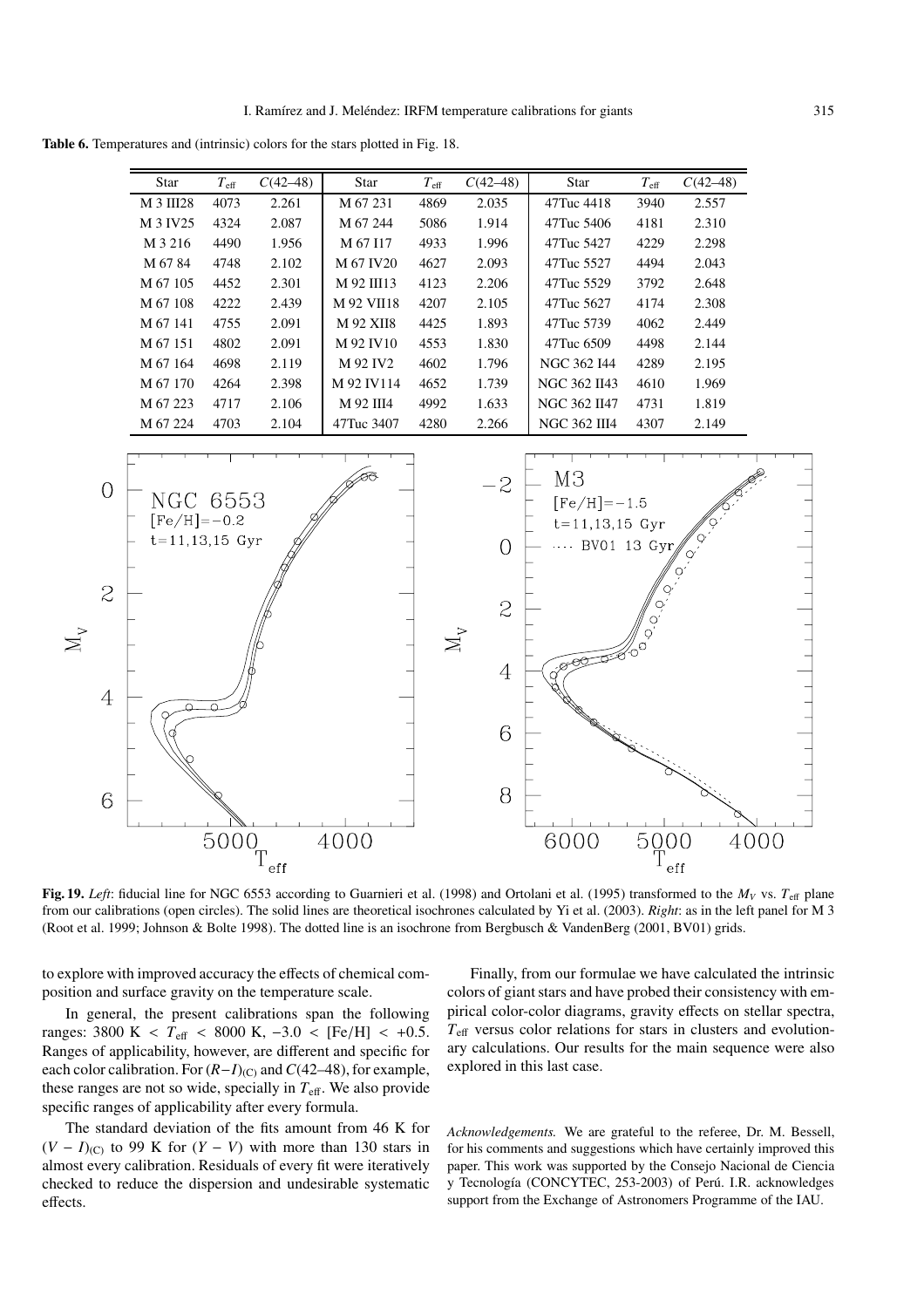**Table 6.** Temperatures and (intrinsic) colors for the stars plotted in Fig. 18.

|                | Star                 | $T_{\rm eff}$    | $C(42-48)$ | Star       | $T_{\rm eff}$             | $C(42-48)$     | Star                 | $T_{\rm eff}$              | $C(42-48)$ |      |
|----------------|----------------------|------------------|------------|------------|---------------------------|----------------|----------------------|----------------------------|------------|------|
|                | M 3 III28            | 4073             | 2.261      | M 67 231   | 4869                      | 2.035          | 47Tuc 4418           | 3940                       | 2.557      |      |
|                | M 3 IV25             | 4324             | 2.087      | M 67 244   | 5086                      | 1.914          | 47Tuc 5406           | 4181                       | 2.310      |      |
|                | M 3 216              | 4490             | 1.956      | M 67 I17   | 4933                      | 1.996          | 47Tuc 5427           | 4229                       | 2.298      |      |
|                | M 67 84              | 4748             | 2.102      | M 67 IV20  | 4627                      | 2.093          | 47Tuc 5527           | 4494                       | 2.043      |      |
|                | M 67 105             | 4452             | 2.301      | M 92 III13 | 4123                      | 2.206          | 47Tuc 5529           | 3792                       | 2.648      |      |
|                | M 67 108             | 4222             | 2.439      | M 92 VII18 | 4207                      | 2.105          | 47Tuc 5627           | 4174                       | 2.308      |      |
|                | M 67 141             | 4755             | 2.091      | M 92 XII8  | 4425                      | 1.893          | 47Tuc 5739           | 4062                       | 2.449      |      |
|                | M 67 151             | 4802             | 2.091      | M 92 IV10  | 4553                      | 1.830          | 47Tuc 6509           | 4498                       | 2.144      |      |
|                | M 67 164             | 4698             | 2.119      | M 92 IV2   | 4602                      | 1.796          | NGC 362 I44          | 4289                       | 2.195      |      |
|                | M 67 170             | 4264             | 2.398      | M 92 IV114 | 4652                      | 1.739          | NGC 362 II43         | 4610                       | 1.969      |      |
|                | M 67 223             | 4717             | 2.106      | M 92 III4  | 4992                      | 1.633          | NGC 362 II47         | 4731                       | 1.819      |      |
|                | M 67 224             | 4703             | 2.104      | 47Tuc 3407 | 4280                      | 2.266          | <b>NGC 362 III4</b>  | 4307                       | 2.149      |      |
|                |                      |                  |            |            |                           |                |                      |                            |            |      |
|                |                      |                  |            |            |                           |                |                      |                            |            |      |
| $\overline{O}$ |                      |                  |            |            |                           | $-2$           | M <sub>3</sub>       |                            |            |      |
|                | NGC 6553             |                  |            |            |                           |                | $[Fe/H] = -1.5$      |                            |            |      |
|                | $[Fe/H] = -0.2$      |                  |            |            |                           |                | $t = 11, 13, 15$ Gyr |                            |            |      |
|                | $t = 11, 13, 15$ Gyr |                  |            |            |                           | $\overline{O}$ |                      | BV01 13 Gyr                |            |      |
|                |                      |                  |            |            |                           |                |                      |                            |            |      |
| $\mathcal{Z}$  |                      |                  |            |            |                           |                |                      |                            |            |      |
|                |                      |                  |            |            |                           | $\mathcal{Z}$  |                      |                            |            |      |
|                |                      |                  |            |            |                           |                |                      |                            |            |      |
|                |                      |                  |            |            | $\mathbf{M}_{\mathbf{v}}$ |                |                      |                            |            |      |
|                |                      |                  |            |            |                           | $\overline{4}$ |                      |                            |            |      |
|                |                      |                  |            |            |                           |                |                      |                            |            |      |
| $\overline{4}$ |                      |                  |            |            |                           |                |                      |                            |            |      |
|                |                      |                  |            |            |                           | 6              |                      |                            |            |      |
|                |                      |                  |            |            |                           |                |                      |                            |            |      |
|                |                      |                  |            |            |                           |                |                      |                            |            |      |
|                |                      |                  |            |            |                           | 8              |                      |                            |            |      |
| 6              |                      |                  |            |            |                           |                |                      |                            |            |      |
|                |                      |                  |            |            |                           |                |                      |                            |            |      |
|                |                      | $\frac{1}{5000}$ |            | 4000       |                           |                | 6000                 | $5000$<br>$T_{\text{eff}}$ |            | 4000 |
|                |                      |                  | eff        |            |                           |                |                      |                            | eff        |      |

**Fig. 19.** *Left*: fiducial line for NGC 6553 according to Guarnieri et al. (1998) and Ortolani et al. (1995) transformed to the  $M_V$  vs.  $T_{\text{eff}}$  plane from our calibrations (open circles). The solid lines are theoretical isochrones calculated by Yi et al. (2003). *Right*: as in the left panel for M 3 (Root et al. 1999; Johnson & Bolte 1998). The dotted line is an isochrone from Bergbusch & VandenBerg (2001, BV01) grids.

to explore with improved accuracy the effects of chemical composition and surface gravity on the temperature scale.

 $\sum$ 

In general, the present calibrations span the following ranges: 3800 K <  $T_{\text{eff}}$  < 8000 K,  $-3.0$  < [Fe/H] < +0.5. Ranges of applicability, however, are different and specific for each color calibration. For  $(R-I)_{(C)}$  and  $C(42–48)$ , for example, these ranges are not so wide, specially in  $T_{\text{eff}}$ . We also provide specific ranges of applicability after every formula.

The standard deviation of the fits amount from 46 K for  $(V - I)_{(C)}$  to 99 K for  $(Y - V)$  with more than 130 stars in almost every calibration. Residuals of every fit were iteratively checked to reduce the dispersion and undesirable systematic effects.

Finally, from our formulae we have calculated the intrinsic colors of giant stars and have probed their consistency with empirical color-color diagrams, gravity effects on stellar spectra,  $T_{\text{eff}}$  versus color relations for stars in clusters and evolutionary calculations. Our results for the main sequence were also explored in this last case.

*Acknowledgements.* We are grateful to the referee, Dr. M. Bessell, for his comments and suggestions which have certainly improved this paper. This work was supported by the Consejo Nacional de Ciencia y Tecnología (CONCYTEC, 253-2003) of Perú. I.R. acknowledges support from the Exchange of Astronomers Programme of the IAU.